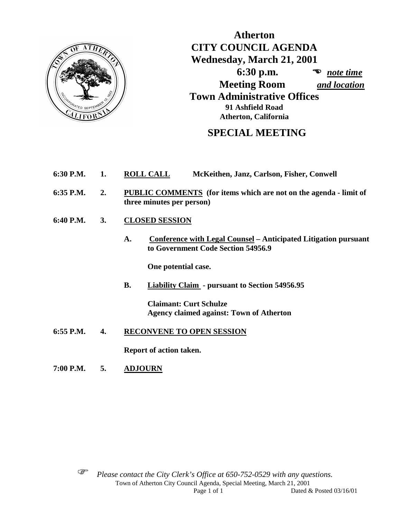

**Atherton CITY COUNCIL AGENDA Wednesday, March 21, 2001 6:30 p.m.** *note time*  **Meeting Room** *and location* **Town Administrative Offices 91 Ashfield Road Atherton, California**

# **SPECIAL MEETING**

- **6:30 P.M. 1. ROLL CALL McKeithen, Janz, Carlson, Fisher, Conwell**
- **6:35 P.M. 2. PUBLIC COMMENTS (for items which are not on the agenda - limit of three minutes per person)**
- **6:40 P.M. 3. CLOSED SESSION**
	- **A. Conference with Legal Counsel – Anticipated Litigation pursuant to Government Code Section 54956.9**

**One potential case.**

**B. Liability Claim - pursuant to Section 54956.95**

**Claimant: Curt Schulze Agency claimed against: Town of Atherton** 

**6:55 P.M. 4. RECONVENE TO OPEN SESSION**

**Report of action taken.**

**7:00 P.M. 5. ADJOURN**



 *Please contact the City Clerk's Office at 650-752-0529 with any questions.*  Town of Atherton City Council Agenda, Special Meeting, March 21, 2001 Page 1 of 1 Dated & Posted 03/16/01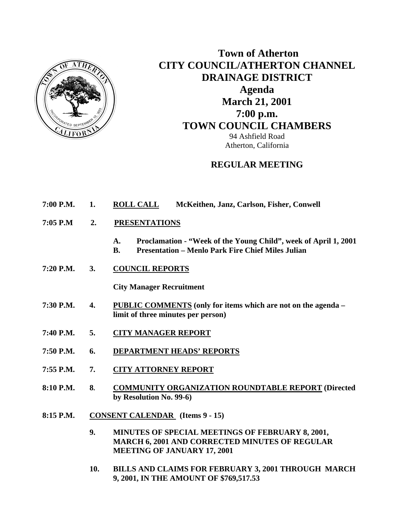

# **Town of Atherton CITY COUNCIL/ATHERTON CHANNEL DRAINAGE DISTRICT Agenda March 21, 2001 7:00 p.m. TOWN COUNCIL CHAMBERS**

94 Ashfield Road Atherton, California

# **REGULAR MEETING**

| 7:00 P.M.<br><b>ROLL CALL</b><br>McKeithen, Janz, Carlson, Fisher, Conwell |  |
|----------------------------------------------------------------------------|--|
|----------------------------------------------------------------------------|--|

- **7:05 P.M 2. PRESENTATIONS** 
	- **A. Proclamation "Week of the Young Child", week of April 1, 2001**
	- **B. Presentation Menlo Park Fire Chief Miles Julian**
- **7:20 P.M. 3. COUNCIL REPORTS**

 **City Manager Recruitment** 

- **7:30 P.M. 4. PUBLIC COMMENTS (only for items which are not on the agenda limit of three minutes per person)**
- **7:40 P.M. 5. CITY MANAGER REPORT**
- **7:50 P.M. 6. DEPARTMENT HEADS' REPORTS**
- **7:55 P.M. 7. CITY ATTORNEY REPORT**
- **8:10 P.M. 8. COMMUNITY ORGANIZATION ROUNDTABLE REPORT (Directed by Resolution No. 99-6)**
- **8:15 P.M. CONSENT CALENDAR (Items 9 15)** 
	- **9. MINUTES OF SPECIAL MEETINGS OF FEBRUARY 8, 2001, MARCH 6, 2001 AND CORRECTED MINUTES OF REGULAR MEETING OF JANUARY 17, 2001**
	- **10. BILLS AND CLAIMS FOR FEBRUARY 3, 2001 THROUGH MARCH 9, 2001, IN THE AMOUNT OF \$769,517.53**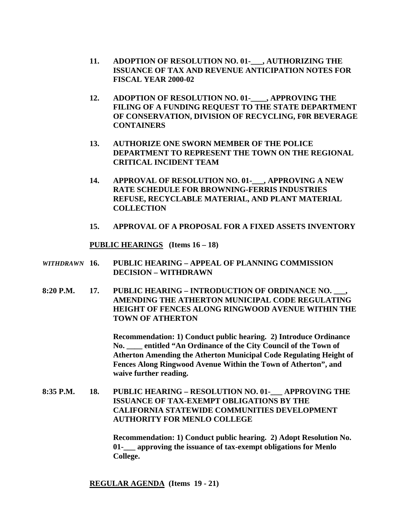- **11. ADOPTION OF RESOLUTION NO. 01-\_\_\_, AUTHORIZING THE ISSUANCE OF TAX AND REVENUE ANTICIPATION NOTES FOR FISCAL YEAR 2000-02**
- **12. ADOPTION OF RESOLUTION NO. 01-\_\_\_\_, APPROVING THE FILING OF A FUNDING REQUEST TO THE STATE DEPARTMENT OF CONSERVATION, DIVISION OF RECYCLING, F0R BEVERAGE CONTAINERS**
- **13. AUTHORIZE ONE SWORN MEMBER OF THE POLICE DEPARTMENT TO REPRESENT THE TOWN ON THE REGIONAL CRITICAL INCIDENT TEAM**
- **14. APPROVAL OF RESOLUTION NO. 01-\_\_\_, APPROVING A NEW RATE SCHEDULE FOR BROWNING-FERRIS INDUSTRIES REFUSE, RECYCLABLE MATERIAL, AND PLANT MATERIAL COLLECTION**
- **15. APPROVAL OF A PROPOSAL FOR A FIXED ASSETS INVENTORY**

 **PUBLIC HEARINGS (Items 16 – 18)** 

- *WITHDRAWN* **16. PUBLIC HEARING APPEAL OF PLANNING COMMISSION DECISION – WITHDRAWN**
- 8:20 P.M. 17. PUBLIC HEARING INTRODUCTION OF ORDINANCE NO.  **AMENDING THE ATHERTON MUNICIPAL CODE REGULATING HEIGHT OF FENCES ALONG RINGWOOD AVENUE WITHIN THE TOWN OF ATHERTON**

 **Recommendation: 1) Conduct public hearing. 2) Introduce Ordinance No. \_\_\_\_ entitled "An Ordinance of the City Council of the Town of Atherton Amending the Atherton Municipal Code Regulating Height of Fences Along Ringwood Avenue Within the Town of Atherton", and waive further reading.** 

**8:35 P.M. 18. PUBLIC HEARING – RESOLUTION NO. 01-\_\_\_ APPROVING THE ISSUANCE OF TAX-EXEMPT OBLIGATIONS BY THE CALIFORNIA STATEWIDE COMMUNITIES DEVELOPMENT AUTHORITY FOR MENLO COLLEGE** 

> **Recommendation: 1) Conduct public hearing. 2) Adopt Resolution No. 01-\_\_\_ approving the issuance of tax-exempt obligations for Menlo College.**

 **REGULAR AGENDA (Items 19 - 21)**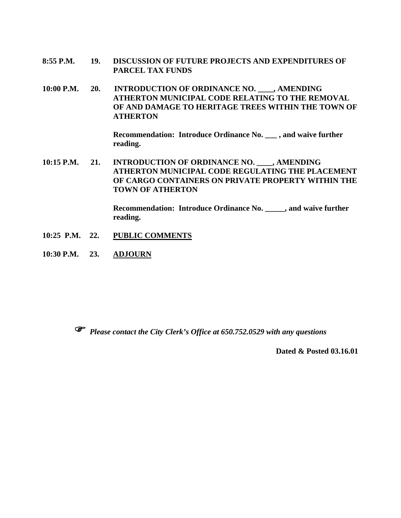- **8:55 P.M. 19. DISCUSSION OF FUTURE PROJECTS AND EXPENDITURES OF PARCEL TAX FUNDS**
- **10:00 P.M. 20. INTRODUCTION OF ORDINANCE NO. \_\_\_\_, AMENDING ATHERTON MUNICIPAL CODE RELATING TO THE REMOVAL OF AND DAMAGE TO HERITAGE TREES WITHIN THE TOWN OF ATHERTON**

 **Recommendation: Introduce Ordinance No. \_\_\_ , and waive further reading.** 

10:15 P.M. 21. INTRODUCTION OF ORDINANCE NO. , AMENDING **ATHERTON MUNICIPAL CODE REGULATING THE PLACEMENT OF CARGO CONTAINERS ON PRIVATE PROPERTY WITHIN THE TOWN OF ATHERTON** 

> **Recommendation: Introduce Ordinance No. \_\_\_\_\_, and waive further reading.**

- **10:25 P.M. 22. PUBLIC COMMENTS**
- **10:30 P.M. 23. ADJOURN**



*Please contact the City Clerk's Office at 650.752.0529 with any questions* 

**Dated & Posted 03.16.01**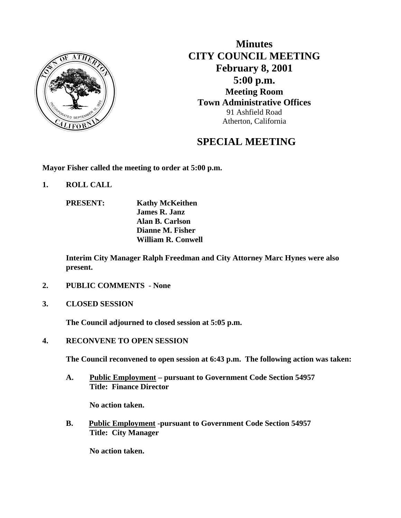

**Minutes CITY COUNCIL MEETING February 8, 2001 5:00 p.m. Meeting Room Town Administrative Offices** 91 Ashfield Road Atherton, California

# **SPECIAL MEETING**

**Mayor Fisher called the meeting to order at 5:00 p.m.** 

- **1. ROLL CALL** 
	- **PRESENT: Kathy McKeithen James R. Janz Alan B. Carlson Dianne M. Fisher William R. Conwell**

 **Interim City Manager Ralph Freedman and City Attorney Marc Hynes were also present.** 

- **2. PUBLIC COMMENTS None**
- **3. CLOSED SESSION**

 **The Council adjourned to closed session at 5:05 p.m.** 

**4. RECONVENE TO OPEN SESSION** 

 **The Council reconvened to open session at 6:43 p.m. The following action was taken:** 

**A. Public Employment – pursuant to Government Code Section 54957 Title: Finance Director** 

 **No action taken.** 

**B. Public Employment -pursuant to Government Code Section 54957 Title: City Manager** 

 **No action taken.**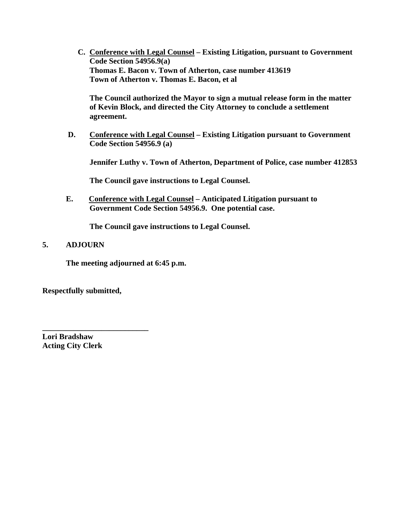**C. Conference with Legal Counsel – Existing Litigation, pursuant to Government Code Section 54956.9(a) Thomas E. Bacon v. Town of Atherton, case number 413619 Town of Atherton v. Thomas E. Bacon, et al** 

 **The Council authorized the Mayor to sign a mutual release form in the matter of Kevin Block, and directed the City Attorney to conclude a settlement agreement.** 

 **D. Conference with Legal Counsel – Existing Litigation pursuant to Government Code Section 54956.9 (a)** 

 **Jennifer Luthy v. Town of Atherton, Department of Police, case number 412853** 

 **The Council gave instructions to Legal Counsel.** 

 **E. Conference with Legal Counsel – Anticipated Litigation pursuant to Government Code Section 54956.9. One potential case.** 

 **The Council gave instructions to Legal Counsel.** 

#### **5. ADJOURN**

**The meeting adjourned at 6:45 p.m.** 

**Respectfully submitted,** 

**\_\_\_\_\_\_\_\_\_\_\_\_\_\_\_\_\_\_\_\_\_\_\_\_\_\_\_** 

**Lori Bradshaw Acting City Clerk**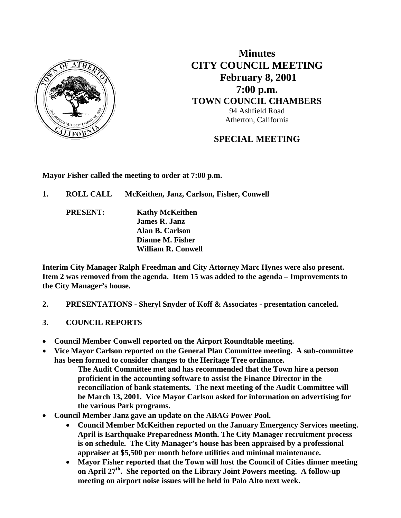

**Minutes CITY COUNCIL MEETING February 8, 2001 7:00 p.m. TOWN COUNCIL CHAMBERS** 94 Ashfield Road Atherton, California

# **SPECIAL MEETING**

**Mayor Fisher called the meeting to order at 7:00 p.m.** 

- **1. ROLL CALL McKeithen, Janz, Carlson, Fisher, Conwell** 
	- **PRESENT: Kathy McKeithen James R. Janz Alan B. Carlson Dianne M. Fisher William R. Conwell**

**Interim City Manager Ralph Freedman and City Attorney Marc Hynes were also present. Item 2 was removed from the agenda. Item 15 was added to the agenda – Improvements to the City Manager's house.** 

- **2. PRESENTATIONS Sheryl Snyder of Koff & Associates presentation canceled.**
- **3. COUNCIL REPORTS**
- **Council Member Conwell reported on the Airport Roundtable meeting.**
- **Vice Mayor Carlson reported on the General Plan Committee meeting. A sub-committee has been formed to consider changes to the Heritage Tree ordinance.** 
	- **The Audit Committee met and has recommended that the Town hire a person proficient in the accounting software to assist the Finance Director in the reconciliation of bank statements. The next meeting of the Audit Committee will be March 13, 2001. Vice Mayor Carlson asked for information on advertising for the various Park programs.**
- **Council Member Janz gave an update on the ABAG Power Pool.** 
	- **Council Member McKeithen reported on the January Emergency Services meeting. April is Earthquake Preparedness Month. The City Manager recruitment process is on schedule. The City Manager's house has been appraised by a professional appraiser at \$5,500 per month before utilities and minimal maintenance.**
	- **Mayor Fisher reported that the Town will host the Council of Cities dinner meeting on April 27th. She reported on the Library Joint Powers meeting. A follow-up meeting on airport noise issues will be held in Palo Alto next week.**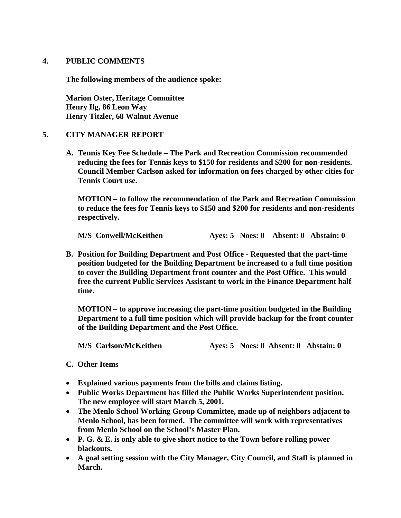#### **4. PUBLIC COMMENTS**

**The following members of the audience spoke:** 

**Marion Oster, Heritage Committee Henry Ilg, 86 Leon Way Henry Titzler, 68 Walnut Avenue** 

#### **5. CITY MANAGER REPORT**

**A. Tennis Key Fee Schedule – The Park and Recreation Commission recommended reducing the fees for Tennis keys to \$150 for residents and \$200 for non-residents. Council Member Carlson asked for information on fees charged by other cities for Tennis Court use.** 

 **MOTION – to follow the recommendation of the Park and Recreation Commission to reduce the fees for Tennis keys to \$150 and \$200 for residents and non-residents respectively.** 

 **M/S Conwell/McKeithen Ayes: 5 Noes: 0 Absent: 0 Abstain: 0** 

**B. Position for Building Department and Post Office - Requested that the part-time position budgeted for the Building Department be increased to a full time position to cover the Building Department front counter and the Post Office. This would free the current Public Services Assistant to work in the Finance Department half time.** 

 **MOTION – to approve increasing the part-time position budgeted in the Building Department to a full time position which will provide backup for the front counter of the Building Department and the Post Office.** 

 **M/S Carlson/McKeithen Ayes: 5 Noes: 0 Absent: 0 Abstain: 0** 

#### **C. Other Items**

- **Explained various payments from the bills and claims listing.**
- **Public Works Department has filled the Public Works Superintendent position. The new employee will start March 5, 2001.**
- **The Menlo School Working Group Committee, made up of neighbors adjacent to Menlo School, has been formed. The committee will work with representatives from Menlo School on the School's Master Plan.**
- **P. G. & E. is only able to give short notice to the Town before rolling power blackouts.**
- **A goal setting session with the City Manager, City Council, and Staff is planned in March.**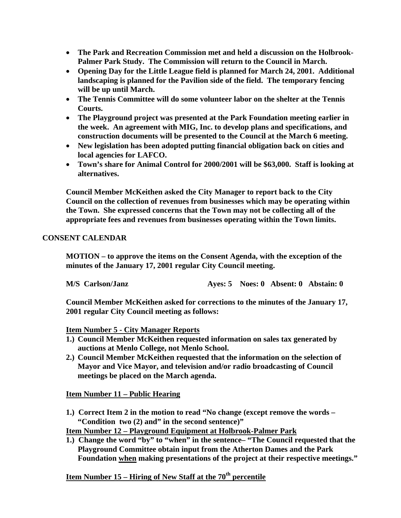- **The Park and Recreation Commission met and held a discussion on the Holbrook-Palmer Park Study. The Commission will return to the Council in March.**
- **Opening Day for the Little League field is planned for March 24, 2001. Additional landscaping is planned for the Pavilion side of the field. The temporary fencing will be up until March.**
- **The Tennis Committee will do some volunteer labor on the shelter at the Tennis Courts.**
- **The Playground project was presented at the Park Foundation meeting earlier in the week. An agreement with MIG, Inc. to develop plans and specifications, and construction documents will be presented to the Council at the March 6 meeting.**
- **New legislation has been adopted putting financial obligation back on cities and local agencies for LAFCO.**
- **Town's share for Animal Control for 2000/2001 will be \$63,000. Staff is looking at alternatives.**

 **Council Member McKeithen asked the City Manager to report back to the City Council on the collection of revenues from businesses which may be operating within the Town. She expressed concerns that the Town may not be collecting all of the appropriate fees and revenues from businesses operating within the Town limits.** 

### **CONSENT CALENDAR**

 **MOTION – to approve the items on the Consent Agenda, with the exception of the minutes of the January 17, 2001 regular City Council meeting.** 

 **M/S Carlson/Janz Ayes: 5 Noes: 0 Absent: 0 Abstain: 0** 

**Council Member McKeithen asked for corrections to the minutes of the January 17, 2001 regular City Council meeting as follows:** 

**Item Number 5 - City Manager Reports**

- **1.) Council Member McKeithen requested information on sales tax generated by auctions at Menlo College, not Menlo School.**
- **2.) Council Member McKeithen requested that the information on the selection of Mayor and Vice Mayor, and television and/or radio broadcasting of Council meetings be placed on the March agenda.**

#### **Item Number 11 – Public Hearing**

**1.) Correct Item 2 in the motion to read "No change (except remove the words – "Condition two (2) and" in the second sentence)"** 

**Item Number 12 – Playground Equipment at Holbrook-Palmer Park**

**1.) Change the word "by" to "when" in the sentence– "The Council requested that the Playground Committee obtain input from the Atherton Dames and the Park Foundation when making presentations of the project at their respective meetings."** 

 **Item Number 15 – Hiring of New Staff at the 70th percentile**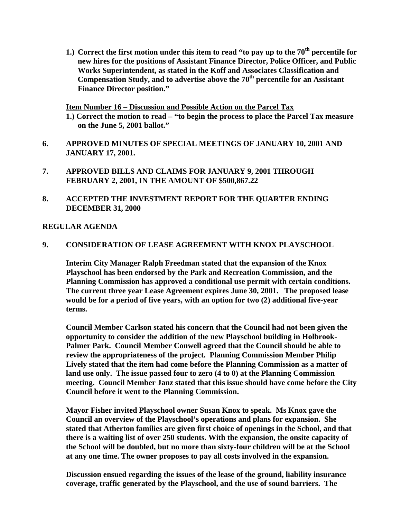**1.) Correct the first motion under this item to read "to pay up to the 70th percentile for new hires for the positions of Assistant Finance Director, Police Officer, and Public Works Superintendent, as stated in the Koff and Associates Classification and Compensation Study, and to advertise above the 70th percentile for an Assistant Finance Director position."** 

**Item Number 16 – Discussion and Possible Action on the Parcel Tax**

- **1.) Correct the motion to read "to begin the process to place the Parcel Tax measure on the June 5, 2001 ballot."**
- **6. APPROVED MINUTES OF SPECIAL MEETINGS OF JANUARY 10, 2001 AND JANUARY 17, 2001.**
- **7. APPROVED BILLS AND CLAIMS FOR JANUARY 9, 2001 THROUGH FEBRUARY 2, 2001, IN THE AMOUNT OF \$500,867.22**
- **8. ACCEPTED THE INVESTMENT REPORT FOR THE QUARTER ENDING DECEMBER 31, 2000**

#### **REGULAR AGENDA**

#### **9. CONSIDERATION OF LEASE AGREEMENT WITH KNOX PLAYSCHOOL**

 **Interim City Manager Ralph Freedman stated that the expansion of the Knox Playschool has been endorsed by the Park and Recreation Commission, and the Planning Commission has approved a conditional use permit with certain conditions. The current three year Lease Agreement expires June 30, 2001. The proposed lease would be for a period of five years, with an option for two (2) additional five-year terms.** 

 **Council Member Carlson stated his concern that the Council had not been given the opportunity to consider the addition of the new Playschool building in Holbrook-Palmer Park. Council Member Conwell agreed that the Council should be able to review the appropriateness of the project. Planning Commission Member Philip Lively stated that the item had come before the Planning Commission as a matter of land use only. The issue passed four to zero (4 to 0) at the Planning Commission meeting. Council Member Janz stated that this issue should have come before the City Council before it went to the Planning Commission.** 

 **Mayor Fisher invited Playschool owner Susan Knox to speak. Ms Knox gave the Council an overview of the Playschool's operations and plans for expansion. She stated that Atherton families are given first choice of openings in the School, and that there is a waiting list of over 250 students. With the expansion, the onsite capacity of the School will be doubled, but no more than sixty-four children will be at the School at any one time. The owner proposes to pay all costs involved in the expansion.** 

 **Discussion ensued regarding the issues of the lease of the ground, liability insurance coverage, traffic generated by the Playschool, and the use of sound barriers. The**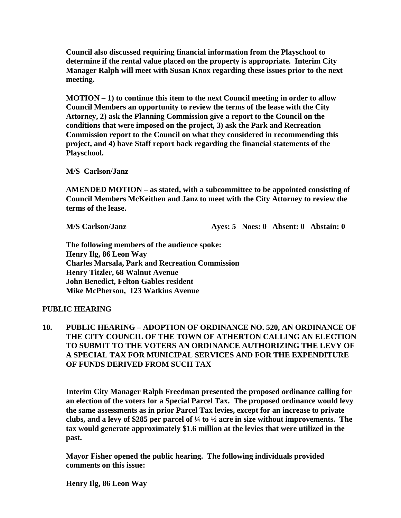**Council also discussed requiring financial information from the Playschool to determine if the rental value placed on the property is appropriate. Interim City Manager Ralph will meet with Susan Knox regarding these issues prior to the next meeting.** 

 **MOTION – 1) to continue this item to the next Council meeting in order to allow Council Members an opportunity to review the terms of the lease with the City Attorney, 2) ask the Planning Commission give a report to the Council on the conditions that were imposed on the project, 3) ask the Park and Recreation Commission report to the Council on what they considered in recommending this project, and 4) have Staff report back regarding the financial statements of the Playschool.** 

 **M/S Carlson/Janz** 

 **AMENDED MOTION – as stated, with a subcommittee to be appointed consisting of Council Members McKeithen and Janz to meet with the City Attorney to review the terms of the lease.** 

 **M/S Carlson/Janz Ayes: 5 Noes: 0 Absent: 0 Abstain: 0** 

 **The following members of the audience spoke: Henry Ilg, 86 Leon Way Charles Marsala, Park and Recreation Commission Henry Titzler, 68 Walnut Avenue John Benedict, Felton Gables resident Mike McPherson, 123 Watkins Avenue** 

#### **PUBLIC HEARING**

**10. PUBLIC HEARING – ADOPTION OF ORDINANCE NO. 520, AN ORDINANCE OF THE CITY COUNCIL OF THE TOWN OF ATHERTON CALLING AN ELECTION TO SUBMIT TO THE VOTERS AN ORDINANCE AUTHORIZING THE LEVY OF A SPECIAL TAX FOR MUNICIPAL SERVICES AND FOR THE EXPENDITURE OF FUNDS DERIVED FROM SUCH TAX** 

 **Interim City Manager Ralph Freedman presented the proposed ordinance calling for an election of the voters for a Special Parcel Tax. The proposed ordinance would levy the same assessments as in prior Parcel Tax levies, except for an increase to private clubs, and a levy of \$285 per parcel of ¼ to ½ acre in size without improvements. The tax would generate approximately \$1.6 million at the levies that were utilized in the past.** 

 **Mayor Fisher opened the public hearing. The following individuals provided comments on this issue:** 

 **Henry Ilg, 86 Leon Way**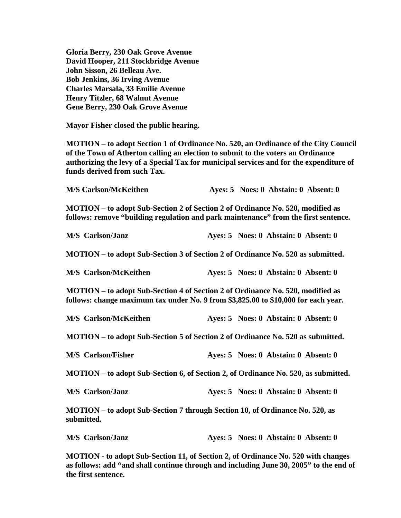**Gloria Berry, 230 Oak Grove Avenue David Hooper, 211 Stockbridge Avenue John Sisson, 26 Belleau Ave. Bob Jenkins, 36 Irving Avenue Charles Marsala, 33 Emilie Avenue Henry Titzler, 68 Walnut Avenue Gene Berry, 230 Oak Grove Avenue** 

 **Mayor Fisher closed the public hearing.** 

 **MOTION – to adopt Section 1 of Ordinance No. 520, an Ordinance of the City Council of the Town of Atherton calling an election to submit to the voters an Ordinance authorizing the levy of a Special Tax for municipal services and for the expenditure of funds derived from such Tax.** 

| <b>M/S Carlson/McKeithen</b>                                                                                                                                          |  | Ayes: 5 Noes: 0 Abstain: 0 Absent: 0 |
|-----------------------------------------------------------------------------------------------------------------------------------------------------------------------|--|--------------------------------------|
| MOTION - to adopt Sub-Section 2 of Section 2 of Ordinance No. 520, modified as<br>follows: remove "building regulation and park maintenance" from the first sentence. |  |                                      |
| <b>M/S</b> Carlson/Janz                                                                                                                                               |  | Ayes: 5 Noes: 0 Abstain: 0 Absent: 0 |
| MOTION – to adopt Sub-Section 3 of Section 2 of Ordinance No. 520 as submitted.                                                                                       |  |                                      |
| <b>M/S</b> Carlson/McKeithen                                                                                                                                          |  | Ayes: 5 Noes: 0 Abstain: 0 Absent: 0 |
| MOTION – to adopt Sub-Section 4 of Section 2 of Ordinance No. 520, modified as<br>follows: change maximum tax under No. 9 from \$3,825.00 to \$10,000 for each year.  |  |                                      |
| <b>M/S</b> Carlson/McKeithen                                                                                                                                          |  | Ayes: 5 Noes: 0 Abstain: 0 Absent: 0 |
| MOTION – to adopt Sub-Section 5 of Section 2 of Ordinance No. 520 as submitted.                                                                                       |  |                                      |
| <b>M/S</b> Carlson/Fisher                                                                                                                                             |  | Ayes: 5 Noes: 0 Abstain: 0 Absent: 0 |
| MOTION – to adopt Sub-Section 6, of Section 2, of Ordinance No. 520, as submitted.                                                                                    |  |                                      |
| <b>M/S</b> Carlson/Janz                                                                                                                                               |  | Ayes: 5 Noes: 0 Abstain: 0 Absent: 0 |
| MOTION – to adopt Sub-Section 7 through Section 10, of Ordinance No. 520, as<br>submitted.                                                                            |  |                                      |
| <b>M/S</b> Carlson/Janz                                                                                                                                               |  | Ayes: 5 Noes: 0 Abstain: 0 Absent: 0 |
| MOTION - to adopt Sub-Section 11, of Section 2, of Ordinance No. 520 with changes                                                                                     |  |                                      |

 **MOTION - to adopt Sub-Section 11, of Section 2, of Ordinance No. 520 with changes as follows: add "and shall continue through and including June 30, 2005" to the end of the first sentence.**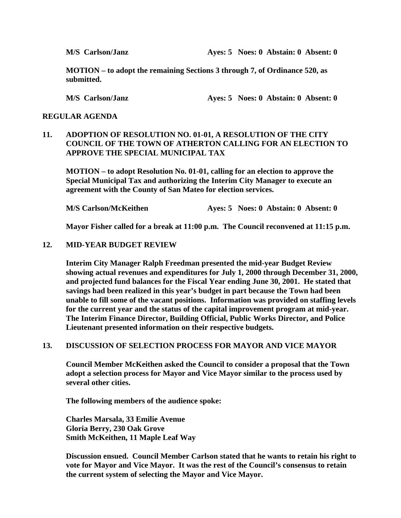**M/S Carlson/Janz Ayes: 5 Noes: 0 Abstain: 0 Absent: 0** 

 **MOTION – to adopt the remaining Sections 3 through 7, of Ordinance 520, as submitted.** 

 **M/S Carlson/Janz Ayes: 5 Noes: 0 Abstain: 0 Absent: 0** 

#### **REGULAR AGENDA**

### **11. ADOPTION OF RESOLUTION NO. 01-01, A RESOLUTION OF THE CITY COUNCIL OF THE TOWN OF ATHERTON CALLING FOR AN ELECTION TO APPROVE THE SPECIAL MUNICIPAL TAX**

 **MOTION – to adopt Resolution No. 01-01, calling for an election to approve the Special Municipal Tax and authorizing the Interim City Manager to execute an agreement with the County of San Mateo for election services.** 

**M/S Carlson/McKeithen Ayes: 5 Noes: 0 Abstain: 0 Absent: 0** 

 **Mayor Fisher called for a break at 11:00 p.m. The Council reconvened at 11:15 p.m.** 

#### **12. MID-YEAR BUDGET REVIEW**

 **Interim City Manager Ralph Freedman presented the mid-year Budget Review showing actual revenues and expenditures for July 1, 2000 through December 31, 2000, and projected fund balances for the Fiscal Year ending June 30, 2001. He stated that savings had been realized in this year's budget in part because the Town had been unable to fill some of the vacant positions. Information was provided on staffing levels for the current year and the status of the capital improvement program at mid-year. The Interim Finance Director, Building Official, Public Works Director, and Police Lieutenant presented information on their respective budgets.** 

#### **13. DISCUSSION OF SELECTION PROCESS FOR MAYOR AND VICE MAYOR**

 **Council Member McKeithen asked the Council to consider a proposal that the Town adopt a selection process for Mayor and Vice Mayor similar to the process used by several other cities.** 

 **The following members of the audience spoke:** 

 **Charles Marsala, 33 Emilie Avenue Gloria Berry, 230 Oak Grove Smith McKeithen, 11 Maple Leaf Way** 

 **Discussion ensued. Council Member Carlson stated that he wants to retain his right to vote for Mayor and Vice Mayor. It was the rest of the Council's consensus to retain the current system of selecting the Mayor and Vice Mayor.**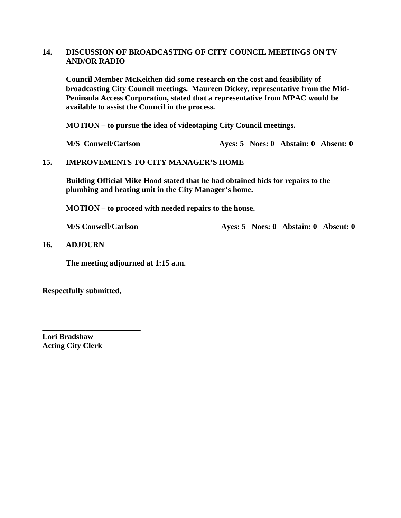#### **14. DISCUSSION OF BROADCASTING OF CITY COUNCIL MEETINGS ON TV AND/OR RADIO**

 **Council Member McKeithen did some research on the cost and feasibility of broadcasting City Council meetings. Maureen Dickey, representative from the Mid-Peninsula Access Corporation, stated that a representative from MPAC would be available to assist the Council in the process.** 

 **MOTION – to pursue the idea of videotaping City Council meetings.** 

**M/S** Conwell/Carlson **Ayes: 5 Noes: 0 Abstain: 0 Absent: 0** 

#### **15. IMPROVEMENTS TO CITY MANAGER'S HOME**

**Building Official Mike Hood stated that he had obtained bids for repairs to the plumbing and heating unit in the City Manager's home.** 

**MOTION – to proceed with needed repairs to the house.** 

**M/S Conwell/Carlson Ayes: 5 Noes: 0 Abstain: 0 Absent: 0** 

**16. ADJOURN** 

 **The meeting adjourned at 1:15 a.m.** 

**Respectfully submitted,** 

**\_\_\_\_\_\_\_\_\_\_\_\_\_\_\_\_\_\_\_\_\_\_\_\_\_** 

**Lori Bradshaw Acting City Clerk**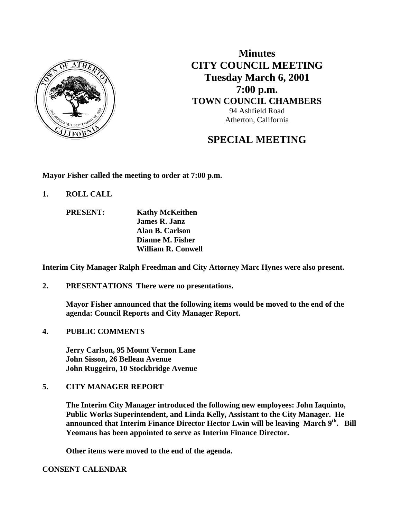

**Minutes CITY COUNCIL MEETING Tuesday March 6, 2001 7:00 p.m. TOWN COUNCIL CHAMBERS** 94 Ashfield Road Atherton, California

# **SPECIAL MEETING**

**Mayor Fisher called the meeting to order at 7:00 p.m.** 

**1. ROLL CALL** 

 **PRESENT: Kathy McKeithen James R. Janz Alan B. Carlson Dianne M. Fisher William R. Conwell** 

**Interim City Manager Ralph Freedman and City Attorney Marc Hynes were also present.** 

**2. PRESENTATIONS There were no presentations.** 

**Mayor Fisher announced that the following items would be moved to the end of the agenda: Council Reports and City Manager Report.** 

**4. PUBLIC COMMENTS** 

 **Jerry Carlson, 95 Mount Vernon Lane John Sisson, 26 Belleau Avenue John Ruggeiro, 10 Stockbridge Avenue** 

#### **5. CITY MANAGER REPORT**

**The Interim City Manager introduced the following new employees: John Iaquinto, Public Works Superintendent, and Linda Kelly, Assistant to the City Manager. He announced that Interim Finance Director Hector Lwin will be leaving March 9th. Bill Yeomans has been appointed to serve as Interim Finance Director.** 

 **Other items were moved to the end of the agenda.** 

**CONSENT CALENDAR**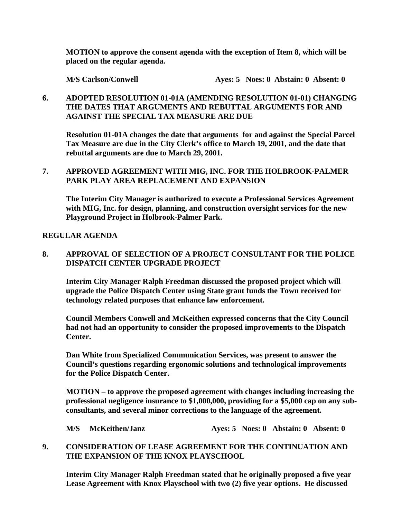**MOTION to approve the consent agenda with the exception of Item 8, which will be placed on the regular agenda.** 

 **M/S Carlson/Conwell Ayes: 5 Noes: 0 Abstain: 0 Absent: 0** 

### **6. ADOPTED RESOLUTION 01-01A (AMENDING RESOLUTION 01-01) CHANGING THE DATES THAT ARGUMENTS AND REBUTTAL ARGUMENTS FOR AND AGAINST THE SPECIAL TAX MEASURE ARE DUE**

 **Resolution 01-01A changes the date that arguments for and against the Special Parcel Tax Measure are due in the City Clerk's office to March 19, 2001, and the date that rebuttal arguments are due to March 29, 2001.** 

#### **7. APPROVED AGREEMENT WITH MIG, INC. FOR THE HOLBROOK-PALMER PARK PLAY AREA REPLACEMENT AND EXPANSION**

 **The Interim City Manager is authorized to execute a Professional Services Agreement with MIG, Inc. for design, planning, and construction oversight services for the new Playground Project in Holbrook-Palmer Park.** 

#### **REGULAR AGENDA**

### **8. APPROVAL OF SELECTION OF A PROJECT CONSULTANT FOR THE POLICE DISPATCH CENTER UPGRADE PROJECT**

 **Interim City Manager Ralph Freedman discussed the proposed project which will upgrade the Police Dispatch Center using State grant funds the Town received for technology related purposes that enhance law enforcement.** 

**Council Members Conwell and McKeithen expressed concerns that the City Council had not had an opportunity to consider the proposed improvements to the Dispatch Center.** 

**Dan White from Specialized Communication Services, was present to answer the Council's questions regarding ergonomic solutions and technological improvements for the Police Dispatch Center.** 

 **MOTION – to approve the proposed agreement with changes including increasing the professional negligence insurance to \$1,000,000, providing for a \$5,000 cap on any subconsultants, and several minor corrections to the language of the agreement.** 

 **M/S McKeithen/Janz Ayes: 5 Noes: 0 Abstain: 0 Absent: 0** 

### **9. CONSIDERATION OF LEASE AGREEMENT FOR THE CONTINUATION AND THE EXPANSION OF THE KNOX PLAYSCHOOL**

 **Interim City Manager Ralph Freedman stated that he originally proposed a five year Lease Agreement with Knox Playschool with two (2) five year options. He discussed**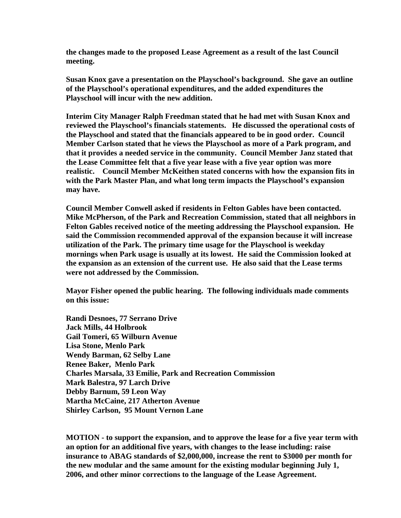**the changes made to the proposed Lease Agreement as a result of the last Council meeting.** 

 **Susan Knox gave a presentation on the Playschool's background. She gave an outline of the Playschool's operational expenditures, and the added expenditures the Playschool will incur with the new addition.** 

 **Interim City Manager Ralph Freedman stated that he had met with Susan Knox and reviewed the Playschool's financials statements. He discussed the operational costs of the Playschool and stated that the financials appeared to be in good order. Council Member Carlson stated that he views the Playschool as more of a Park program, and that it provides a needed service in the community. Council Member Janz stated that the Lease Committee felt that a five year lease with a five year option was more realistic. Council Member McKeithen stated concerns with how the expansion fits in with the Park Master Plan, and what long term impacts the Playschool's expansion may have.** 

 **Council Member Conwell asked if residents in Felton Gables have been contacted. Mike McPherson, of the Park and Recreation Commission, stated that all neighbors in Felton Gables received notice of the meeting addressing the Playschool expansion. He said the Commission recommended approval of the expansion because it will increase utilization of the Park. The primary time usage for the Playschool is weekday mornings when Park usage is usually at its lowest. He said the Commission looked at the expansion as an extension of the current use. He also said that the Lease terms were not addressed by the Commission.** 

 **Mayor Fisher opened the public hearing. The following individuals made comments on this issue:** 

 **Randi Desnoes, 77 Serrano Drive Jack Mills, 44 Holbrook Gail Tomeri, 65 Wilburn Avenue Lisa Stone, Menlo Park Wendy Barman, 62 Selby Lane Renee Baker, Menlo Park Charles Marsala, 33 Emilie, Park and Recreation Commission Mark Balestra, 97 Larch Drive Debby Barnum, 59 Leon Way Martha McCaine, 217 Atherton Avenue Shirley Carlson, 95 Mount Vernon Lane** 

 **MOTION - to support the expansion, and to approve the lease for a five year term with an option for an additional five years, with changes to the lease including: raise insurance to ABAG standards of \$2,000,000, increase the rent to \$3000 per month for the new modular and the same amount for the existing modular beginning July 1, 2006, and other minor corrections to the language of the Lease Agreement.**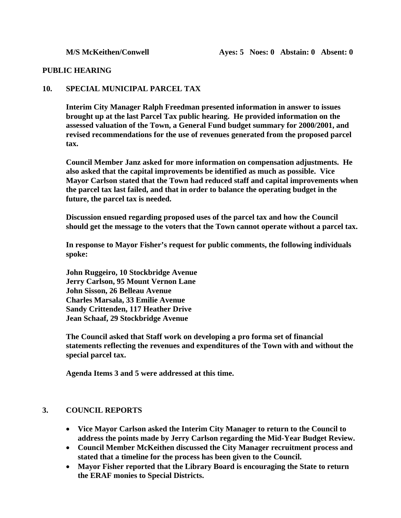#### **PUBLIC HEARING**

#### **10. SPECIAL MUNICIPAL PARCEL TAX**

 **Interim City Manager Ralph Freedman presented information in answer to issues brought up at the last Parcel Tax public hearing. He provided information on the assessed valuation of the Town, a General Fund budget summary for 2000/2001, and revised recommendations for the use of revenues generated from the proposed parcel tax.** 

 **Council Member Janz asked for more information on compensation adjustments. He also asked that the capital improvements be identified as much as possible. Vice Mayor Carlson stated that the Town had reduced staff and capital improvements when the parcel tax last failed, and that in order to balance the operating budget in the future, the parcel tax is needed.** 

 **Discussion ensued regarding proposed uses of the parcel tax and how the Council should get the message to the voters that the Town cannot operate without a parcel tax.** 

 **In response to Mayor Fisher's request for public comments, the following individuals spoke:** 

 **John Ruggeiro, 10 Stockbridge Avenue Jerry Carlson, 95 Mount Vernon Lane John Sisson, 26 Belleau Avenue Charles Marsala, 33 Emilie Avenue Sandy Crittenden, 117 Heather Drive Jean Schaaf, 29 Stockbridge Avenue** 

 **The Council asked that Staff work on developing a pro forma set of financial statements reflecting the revenues and expenditures of the Town with and without the special parcel tax.** 

 **Agenda Items 3 and 5 were addressed at this time.** 

#### **3. COUNCIL REPORTS**

- **Vice Mayor Carlson asked the Interim City Manager to return to the Council to address the points made by Jerry Carlson regarding the Mid-Year Budget Review.**
- **Council Member McKeithen discussed the City Manager recruitment process and stated that a timeline for the process has been given to the Council.**
- **Mayor Fisher reported that the Library Board is encouraging the State to return the ERAF monies to Special Districts.**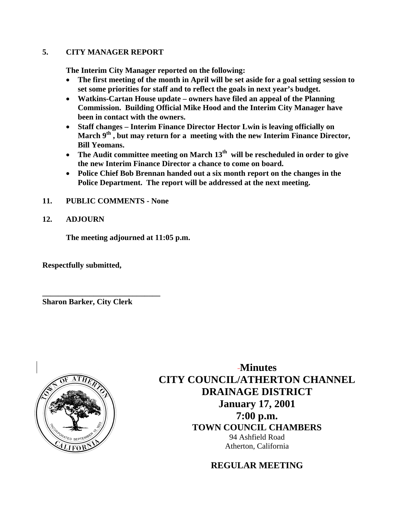### **5. CITY MANAGER REPORT**

**The Interim City Manager reported on the following:** 

- **The first meeting of the month in April will be set aside for a goal setting session to set some priorities for staff and to reflect the goals in next year's budget.**
- **Watkins-Cartan House update owners have filed an appeal of the Planning Commission. Building Official Mike Hood and the Interim City Manager have been in contact with the owners.**
- **Staff changes Interim Finance Director Hector Lwin is leaving officially on**  March 9<sup>th</sup>, but may return for a meeting with the new Interim Finance Director, **Bill Yeomans.**
- The Audit committee meeting on March 13<sup>th</sup> will be rescheduled in order to give **the new Interim Finance Director a chance to come on board.**
- **Police Chief Bob Brennan handed out a six month report on the changes in the Police Department. The report will be addressed at the next meeting.**
- **11. PUBLIC COMMENTS None**
- **12. ADJOURN**

**The meeting adjourned at 11:05 p.m.** 

**Respectfully submitted,** 

**Sharon Barker, City Clerk** 

**\_\_\_\_\_\_\_\_\_\_\_\_\_\_\_\_\_\_\_\_\_\_\_\_\_\_\_\_\_\_** 



**Minutes CITY COUNCIL/ATHERTON CHANNEL DRAINAGE DISTRICT January 17, 2001 7:00 p.m. TOWN COUNCIL CHAMBERS** 94 Ashfield Road Atherton, California

**REGULAR MEETING**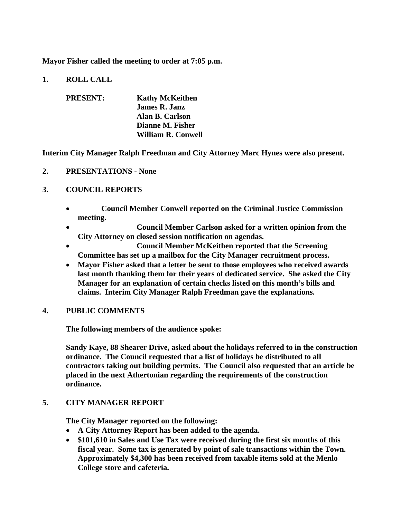**Mayor Fisher called the meeting to order at 7:05 p.m.** 

**1. ROLL CALL** 

| <b>PRESENT:</b> | <b>Kathy McKeithen</b>    |
|-----------------|---------------------------|
|                 | <b>James R. Janz</b>      |
|                 | Alan B. Carlson           |
|                 | Dianne M. Fisher          |
|                 | <b>William R. Conwell</b> |

**Interim City Manager Ralph Freedman and City Attorney Marc Hynes were also present.** 

**2. PRESENTATIONS - None** 

#### **3. COUNCIL REPORTS**

- **Council Member Conwell reported on the Criminal Justice Commission meeting.**
- **Council Member Carlson asked for a written opinion from the City Attorney on closed session notification on agendas.**
- **Council Member McKeithen reported that the Screening Committee has set up a mailbox for the City Manager recruitment process.**
- **Mayor Fisher asked that a letter be sent to those employees who received awards last month thanking them for their years of dedicated service. She asked the City Manager for an explanation of certain checks listed on this month's bills and claims. Interim City Manager Ralph Freedman gave the explanations.**

#### **4. PUBLIC COMMENTS**

**The following members of the audience spoke:** 

**Sandy Kaye, 88 Shearer Drive, asked about the holidays referred to in the construction ordinance. The Council requested that a list of holidays be distributed to all contractors taking out building permits. The Council also requested that an article be placed in the next Athertonian regarding the requirements of the construction ordinance.** 

#### **5. CITY MANAGER REPORT**

 **The City Manager reported on the following:** 

- **A City Attorney Report has been added to the agenda.**
- **\$101,610 in Sales and Use Tax were received during the first six months of this fiscal year. Some tax is generated by point of sale transactions within the Town. Approximately \$4,300 has been received from taxable items sold at the Menlo College store and cafeteria.**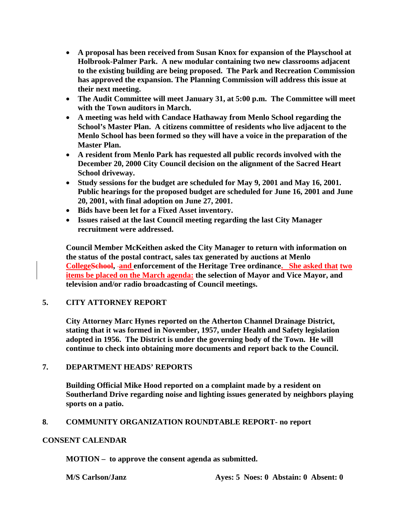- **A proposal has been received from Susan Knox for expansion of the Playschool at Holbrook-Palmer Park. A new modular containing two new classrooms adjacent to the existing building are being proposed. The Park and Recreation Commission has approved the expansion. The Planning Commission will address this issue at their next meeting.**
- **The Audit Committee will meet January 31, at 5:00 p.m. The Committee will meet with the Town auditors in March.**
- **A meeting was held with Candace Hathaway from Menlo School regarding the School's Master Plan. A citizens committee of residents who live adjacent to the Menlo School has been formed so they will have a voice in the preparation of the Master Plan.**
- **A resident from Menlo Park has requested all public records involved with the December 20, 2000 City Council decision on the alignment of the Sacred Heart School driveway.**
- **Study sessions for the budget are scheduled for May 9, 2001 and May 16, 2001. Public hearings for the proposed budget are scheduled for June 16, 2001 and June 20, 2001, with final adoption on June 27, 2001.**
- **Bids have been let for a Fixed Asset inventory.**
- **Issues raised at the last Council meeting regarding the last City Manager recruitment were addressed.**

**Council Member McKeithen asked the City Manager to return with information on the status of the postal contract, sales tax generated by auctions at Menlo CollegeSchool, and enforcement of the Heritage Tree ordinance. She asked that two items be placed on the March agenda: the selection of Mayor and Vice Mayor, and television and/or radio broadcasting of Council meetings.** 

# **5. CITY ATTORNEY REPORT**

**City Attorney Marc Hynes reported on the Atherton Channel Drainage District, stating that it was formed in November, 1957, under Health and Safety legislation adopted in 1956. The District is under the governing body of the Town. He will continue to check into obtaining more documents and report back to the Council.** 

### **7. DEPARTMENT HEADS' REPORTS**

**Building Official Mike Hood reported on a complaint made by a resident on Southerland Drive regarding noise and lighting issues generated by neighbors playing sports on a patio.** 

### **8. COMMUNITY ORGANIZATION ROUNDTABLE REPORT- no report**

#### **CONSENT CALENDAR**

**MOTION – to approve the consent agenda as submitted.**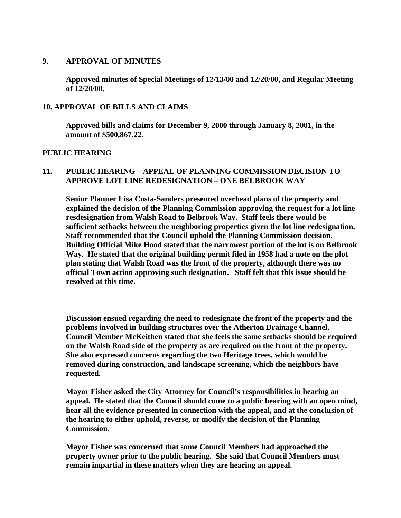#### **9. APPROVAL OF MINUTES**

**Approved minutes of Special Meetings of 12/13/00 and 12/20/00, and Regular Meeting of 12/20/00.** 

#### **10. APPROVAL OF BILLS AND CLAIMS**

**Approved bills and claims for December 9, 2000 through January 8, 2001, in the amount of \$500,867.22.** 

#### **PUBLIC HEARING**

#### **11. PUBLIC HEARING – APPEAL OF PLANNING COMMISSION DECISION TO APPROVE LOT LINE REDESIGNATION – ONE BELBROOK WAY**

**Senior Planner Lisa Costa-Sanders presented overhead plans of the property and explained the decision of the Planning Commission approving the request for a lot line resdesignation from Walsh Road to Belbrook Way. Staff feels there would be sufficient setbacks between the neighboring properties given the lot line redesignation. Staff recommended that the Council uphold the Planning Commission decision. Building Official Mike Hood stated that the narrowest portion of the lot is on Belbrook Way. He stated that the original building permit filed in 1958 had a note on the plot plan stating that Walsh Road was the front of the property, although there was no official Town action approving such designation. Staff felt that this issue should be resolved at this time.** 

**Discussion ensued regarding the need to redesignate the front of the property and the problems involved in building structures over the Atherton Drainage Channel. Council Member McKeithen stated that she feels the same setbacks should be required on the Walsh Road side of the property as are required on the front of the property. She also expressed concerns regarding the two Heritage trees, which would be removed during construction, and landscape screening, which the neighbors have requested.** 

**Mayor Fisher asked the City Attorney for Council's responsibilities in hearing an appeal. He stated that the Council should come to a public hearing with an open mind, hear all the evidence presented in connection with the appeal, and at the conclusion of the hearing to either uphold, reverse, or modify the decision of the Planning Commission.** 

**Mayor Fisher was concerned that some Council Members had approached the property owner prior to the public hearing. She said that Council Members must remain impartial in these matters when they are hearing an appeal.**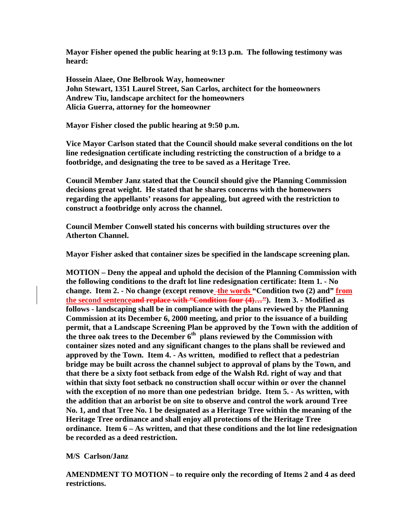**Mayor Fisher opened the public hearing at 9:13 p.m. The following testimony was heard:** 

**Hossein Alaee, One Belbrook Way, homeowner John Stewart, 1351 Laurel Street, San Carlos, architect for the homeowners Andrew Tiu, landscape architect for the homeowners Alicia Guerra, attorney for the homeowner** 

**Mayor Fisher closed the public hearing at 9:50 p.m.** 

**Vice Mayor Carlson stated that the Council should make several conditions on the lot line redesignation certificate including restricting the construction of a bridge to a footbridge, and designating the tree to be saved as a Heritage Tree.** 

**Council Member Janz stated that the Council should give the Planning Commission decisions great weight. He stated that he shares concerns with the homeowners regarding the appellants' reasons for appealing, but agreed with the restriction to construct a footbridge only across the channel.** 

**Council Member Conwell stated his concerns with building structures over the Atherton Channel.** 

 **Mayor Fisher asked that container sizes be specified in the landscape screening plan.** 

 **MOTION – Deny the appeal and uphold the decision of the Planning Commission with the following conditions to the draft lot line redesignation certificate: Item 1. - No change. Item 2. - No change (except remove the words "Condition two (2) and" from the second sentenceand replace with "Condition four (4)…"). Item 3. - Modified as follows - landscaping shall be in compliance with the plans reviewed by the Planning Commission at its December 6, 2000 meeting, and prior to the issuance of a building permit, that a Landscape Screening Plan be approved by the Town with the addition of the three oak trees to the December 6th plans reviewed by the Commission with container sizes noted and any significant changes to the plans shall be reviewed and approved by the Town. Item 4. - As written, modified to reflect that a pedestrian bridge may be built across the channel subject to approval of plans by the Town, and that there be a sixty foot setback from edge of the Walsh Rd. right of way and that within that sixty foot setback no construction shall occur within or over the channel with the exception of no more than one pedestrian bridge. Item 5. - As written, with the addition that an arborist be on site to observe and control the work around Tree No. 1, and that Tree No. 1 be designated as a Heritage Tree within the meaning of the Heritage Tree ordinance and shall enjoy all protections of the Heritage Tree ordinance. Item 6 – As written, and that these conditions and the lot line redesignation be recorded as a deed restriction.** 

#### **M/S Carlson/Janz**

 **AMENDMENT TO MOTION – to require only the recording of Items 2 and 4 as deed restrictions.**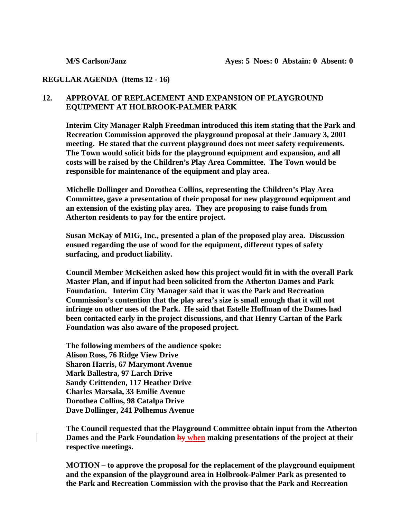#### **REGULAR AGENDA (Items 12 - 16)**

#### **12. APPROVAL OF REPLACEMENT AND EXPANSION OF PLAYGROUND EQUIPMENT AT HOLBROOK-PALMER PARK**

**Interim City Manager Ralph Freedman introduced this item stating that the Park and Recreation Commission approved the playground proposal at their January 3, 2001 meeting. He stated that the current playground does not meet safety requirements. The Town would solicit bids for the playground equipment and expansion, and all costs will be raised by the Children's Play Area Committee. The Town would be responsible for maintenance of the equipment and play area.** 

 **Michelle Dollinger and Dorothea Collins, representing the Children's Play Area Committee, gave a presentation of their proposal for new playground equipment and an extension of the existing play area. They are proposing to raise funds from Atherton residents to pay for the entire project.** 

 **Susan McKay of MIG, Inc., presented a plan of the proposed play area. Discussion ensued regarding the use of wood for the equipment, different types of safety surfacing, and product liability.** 

 **Council Member McKeithen asked how this project would fit in with the overall Park Master Plan, and if input had been solicited from the Atherton Dames and Park Foundation. Interim City Manager said that it was the Park and Recreation Commission's contention that the play area's size is small enough that it will not infringe on other uses of the Park. He said that Estelle Hoffman of the Dames had been contacted early in the project discussions, and that Henry Cartan of the Park Foundation was also aware of the proposed project.** 

 **The following members of the audience spoke: Alison Ross, 76 Ridge View Drive Sharon Harris, 67 Marymont Avenue Mark Ballestra, 97 Larch Drive Sandy Crittenden, 117 Heather Drive Charles Marsala, 33 Emilie Avenue Dorothea Collins, 98 Catalpa Drive Dave Dollinger, 241 Polhemus Avenue** 

 **The Council requested that the Playground Committee obtain input from the Atherton Dames and the Park Foundation by when making presentations of the project at their respective meetings.** 

 **MOTION – to approve the proposal for the replacement of the playground equipment and the expansion of the playground area in Holbrook-Palmer Park as presented to the Park and Recreation Commission with the proviso that the Park and Recreation**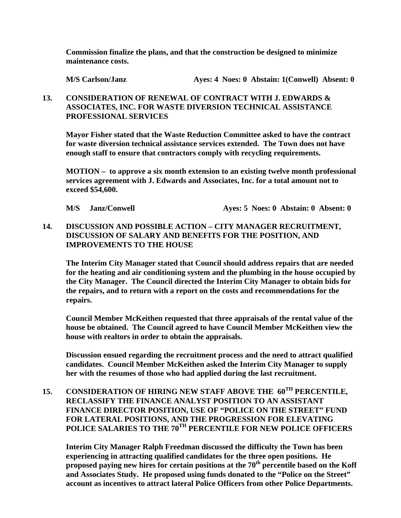**Commission finalize the plans, and that the construction be designed to minimize maintenance costs.** 

 **M/S Carlson/Janz Ayes: 4 Noes: 0 Abstain: 1(Conwell) Absent: 0** 

### **13. CONSIDERATION OF RENEWAL OF CONTRACT WITH J. EDWARDS & ASSOCIATES, INC. FOR WASTE DIVERSION TECHNICAL ASSISTANCE PROFESSIONAL SERVICES**

 **Mayor Fisher stated that the Waste Reduction Committee asked to have the contract for waste diversion technical assistance services extended. The Town does not have enough staff to ensure that contractors comply with recycling requirements.** 

**MOTION – to approve a six month extension to an existing twelve month professional services agreement with J. Edwards and Associates, Inc. for a total amount not to exceed \$54,600.** 

 **M/S Janz/Conwell Ayes: 5 Noes: 0 Abstain: 0 Absent: 0** 

**14. DISCUSSION AND POSSIBLE ACTION – CITY MANAGER RECRUITMENT, DISCUSSION OF SALARY AND BENEFITS FOR THE POSITION, AND IMPROVEMENTS TO THE HOUSE** 

**The Interim City Manager stated that Council should address repairs that are needed for the heating and air conditioning system and the plumbing in the house occupied by the City Manager. The Council directed the Interim City Manager to obtain bids for the repairs, and to return with a report on the costs and recommendations for the repairs.** 

**Council Member McKeithen requested that three appraisals of the rental value of the house be obtained. The Council agreed to have Council Member McKeithen view the house with realtors in order to obtain the appraisals.** 

**Discussion ensued regarding the recruitment process and the need to attract qualified candidates. Council Member McKeithen asked the Interim City Manager to supply her with the resumes of those who had applied during the last recruitment.** 

**15. CONSIDERATION OF HIRING NEW STAFF ABOVE THE 60TH PERCENTILE, RECLASSIFY THE FINANCE ANALYST POSITION TO AN ASSISTANT FINANCE DIRECTOR POSITION, USE OF "POLICE ON THE STREET" FUND FOR LATERAL POSITIONS, AND THE PROGRESSION FOR ELEVATING POLICE SALARIES TO THE 70TH PERCENTILE FOR NEW POLICE OFFICERS** 

**Interim City Manager Ralph Freedman discussed the difficulty the Town has been experiencing in attracting qualified candidates for the three open positions. He proposed paying new hires for certain positions at the 70th percentile based on the Koff and Associates Study. He proposed using funds donated to the "Police on the Street" account as incentives to attract lateral Police Officers from other Police Departments.**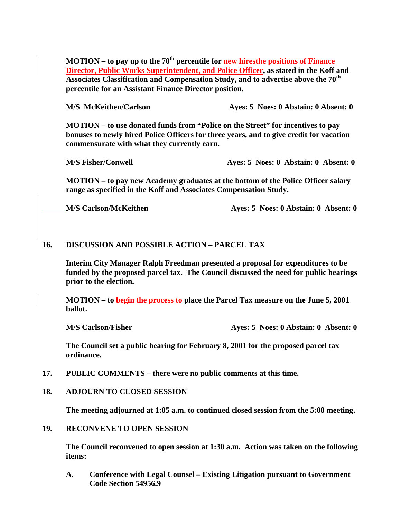**MOTION – to pay up to the 70th percentile for new hiresthe positions of Finance Director, Public Works Superintendent, and Police Officer, as stated in the Koff and Associates Classification and Compensation Study, and to advertise above the 70th percentile for an Assistant Finance Director position.** 

 **M/S McKeithen/Carlson Ayes: 5 Noes: 0 Abstain: 0 Absent: 0** 

 **MOTION – to use donated funds from "Police on the Street" for incentives to pay bonuses to newly hired Police Officers for three years, and to give credit for vacation commensurate with what they currently earn.** 

 **M/S Fisher/Conwell Ayes: 5 Noes: 0 Abstain: 0 Absent: 0** 

 **MOTION – to pay new Academy graduates at the bottom of the Police Officer salary range as specified in the Koff and Associates Compensation Study.** 

**M/S Carlson/McKeithen Ayes: 5 Noes: 0 Abstain: 0 Absent: 0** 

#### **16. DISCUSSION AND POSSIBLE ACTION – PARCEL TAX**

 **Interim City Manager Ralph Freedman presented a proposal for expenditures to be funded by the proposed parcel tax. The Council discussed the need for public hearings prior to the election.** 

 **MOTION – to begin the process to place the Parcel Tax measure on the June 5, 2001 ballot.** 

 **M/S Carlson/Fisher Ayes: 5 Noes: 0 Abstain: 0 Absent: 0** 

 **The Council set a public hearing for February 8, 2001 for the proposed parcel tax ordinance.** 

- **17. PUBLIC COMMENTS there were no public comments at this time.**
- **18. ADJOURN TO CLOSED SESSION**

**The meeting adjourned at 1:05 a.m. to continued closed session from the 5:00 meeting.** 

**19. RECONVENE TO OPEN SESSION** 

**The Council reconvened to open session at 1:30 a.m. Action was taken on the following items:** 

 **A. Conference with Legal Counsel – Existing Litigation pursuant to Government Code Section 54956.9**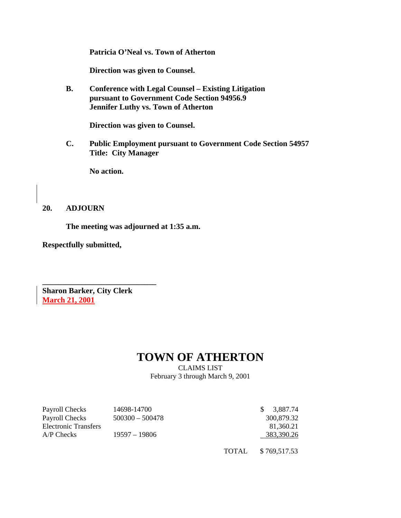**Patricia O'Neal vs. Town of Atherton** 

 **Direction was given to Counsel.** 

 **B. Conference with Legal Counsel – Existing Litigation pursuant to Government Code Section 94956.9 Jennifer Luthy vs. Town of Atherton** 

 **Direction was given to Counsel.** 

**C. Public Employment pursuant to Government Code Section 54957 Title: City Manager** 

 **No action.** 

#### **20. ADJOURN**

 **The meeting was adjourned at 1:35 a.m.** 

**Respectfully submitted,** 

**Sharon Barker, City Clerk March 21, 2001**

**\_\_\_\_\_\_\_\_\_\_\_\_\_\_\_\_\_\_\_\_\_\_\_\_\_\_\_\_\_** 

# **TOWN OF ATHERTON**

CLAIMS LIST February 3 through March 9, 2001

| Payroll Checks       | 14698-14700       | 3.887.74   |
|----------------------|-------------------|------------|
| Payroll Checks       | $500300 - 500478$ | 300.879.32 |
| Electronic Transfers |                   | 81.360.21  |
| $A/P$ Checks         | 19597 – 19806     | 383,390.26 |
|                      |                   |            |

TOTAL \$ 769,517.53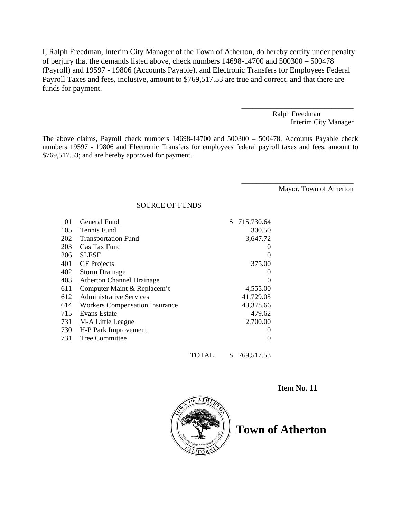I, Ralph Freedman, Interim City Manager of the Town of Atherton, do hereby certify under penalty of perjury that the demands listed above, check numbers 14698-14700 and 500300 – 500478 (Payroll) and 19597 - 19806 (Accounts Payable), and Electronic Transfers for Employees Federal Payroll Taxes and fees, inclusive, amount to \$769,517.53 are true and correct, and that there are funds for payment.

> Ralph Freedman Interim City Manager

\_\_\_\_\_\_\_\_\_\_\_\_\_\_\_\_\_\_\_\_\_\_\_\_\_\_\_\_\_\_\_

\_\_\_\_\_\_\_\_\_\_\_\_\_\_\_\_\_\_\_\_\_\_\_\_\_\_\_\_\_\_\_

The above claims, Payroll check numbers 14698-14700 and 500300 – 500478, Accounts Payable check numbers 19597 - 19806 and Electronic Transfers for employees federal payroll taxes and fees, amount to \$769,517.53; and are hereby approved for payment.

Mayor, Town of Atherton

SOURCE OF FUNDS

| 101 | General Fund                          |       | \$ | 715,730.64 |
|-----|---------------------------------------|-------|----|------------|
| 105 | Tennis Fund                           |       |    | 300.50     |
| 202 | <b>Transportation Fund</b>            |       |    | 3,647.72   |
| 203 | Gas Tax Fund                          |       |    |            |
| 206 | <b>SLESF</b>                          |       |    | $\Omega$   |
| 401 | <b>GF</b> Projects                    |       |    | 375.00     |
| 402 | <b>Storm Drainage</b>                 |       |    | $_{0}$     |
| 403 | <b>Atherton Channel Drainage</b>      |       |    |            |
| 611 | Computer Maint & Replacem't           |       |    | 4,555.00   |
| 612 | <b>Administrative Services</b>        |       |    | 41,729.05  |
| 614 | <b>Workers Compensation Insurance</b> |       |    | 43,378.66  |
| 715 | Evans Estate                          |       |    | 479.62     |
| 731 | M-A Little League                     |       |    | 2,700.00   |
| 730 | H-P Park Improvement                  |       |    | $\theta$   |
| 731 | <b>Tree Committee</b>                 |       |    | 0          |
|     |                                       | TOTAL | S  | 769,517.53 |

**Item No. 11** 



**Town of Atherton**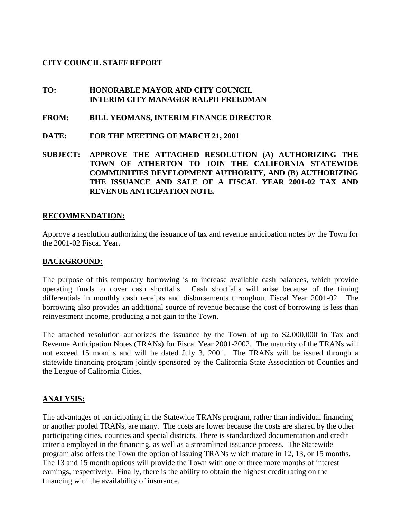#### **CITY COUNCIL STAFF REPORT**

#### **TO: HONORABLE MAYOR AND CITY COUNCIL INTERIM CITY MANAGER RALPH FREEDMAN**

- **FROM: BILL YEOMANS, INTERIM FINANCE DIRECTOR**
- **DATE: FOR THE MEETING OF MARCH 21, 2001**
- **SUBJECT: APPROVE THE ATTACHED RESOLUTION (A) AUTHORIZING THE TOWN OF ATHERTON TO JOIN THE CALIFORNIA STATEWIDE COMMUNITIES DEVELOPMENT AUTHORITY, AND (B) AUTHORIZING THE ISSUANCE AND SALE OF A FISCAL YEAR 2001-02 TAX AND REVENUE ANTICIPATION NOTE.**

#### **RECOMMENDATION:**

Approve a resolution authorizing the issuance of tax and revenue anticipation notes by the Town for the 2001-02 Fiscal Year.

#### **BACKGROUND:**

The purpose of this temporary borrowing is to increase available cash balances, which provide operating funds to cover cash shortfalls. Cash shortfalls will arise because of the timing differentials in monthly cash receipts and disbursements throughout Fiscal Year 2001-02. The borrowing also provides an additional source of revenue because the cost of borrowing is less than reinvestment income, producing a net gain to the Town.

The attached resolution authorizes the issuance by the Town of up to \$2,000,000 in Tax and Revenue Anticipation Notes (TRANs) for Fiscal Year 2001-2002. The maturity of the TRANs will not exceed 15 months and will be dated July 3, 2001. The TRANs will be issued through a statewide financing program jointly sponsored by the California State Association of Counties and the League of California Cities.

#### **ANALYSIS:**

The advantages of participating in the Statewide TRANs program, rather than individual financing or another pooled TRANs, are many. The costs are lower because the costs are shared by the other participating cities, counties and special districts. There is standardized documentation and credit criteria employed in the financing, as well as a streamlined issuance process. The Statewide program also offers the Town the option of issuing TRANs which mature in 12, 13, or 15 months. The 13 and 15 month options will provide the Town with one or three more months of interest earnings, respectively. Finally, there is the ability to obtain the highest credit rating on the financing with the availability of insurance.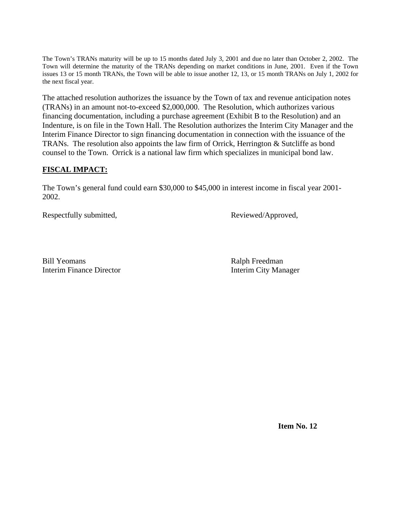The Town's TRANs maturity will be up to 15 months dated July 3, 2001 and due no later than October 2, 2002. The Town will determine the maturity of the TRANs depending on market conditions in June, 2001. Even if the Town issues 13 or 15 month TRANs, the Town will be able to issue another 12, 13, or 15 month TRANs on July 1, 2002 for the next fiscal year.

The attached resolution authorizes the issuance by the Town of tax and revenue anticipation notes (TRANs) in an amount not-to-exceed \$2,000,000. The Resolution, which authorizes various financing documentation, including a purchase agreement (Exhibit B to the Resolution) and an Indenture, is on file in the Town Hall. The Resolution authorizes the Interim City Manager and the Interim Finance Director to sign financing documentation in connection with the issuance of the TRANs. The resolution also appoints the law firm of Orrick, Herrington & Sutcliffe as bond counsel to the Town. Orrick is a national law firm which specializes in municipal bond law.

### **FISCAL IMPACT:**

The Town's general fund could earn \$30,000 to \$45,000 in interest income in fiscal year 2001- 2002.

Respectfully submitted, Reviewed/Approved,

Bill Yeomans Ralph Freedman Interim Finance Director Interim City Manager

 **Item No. 12**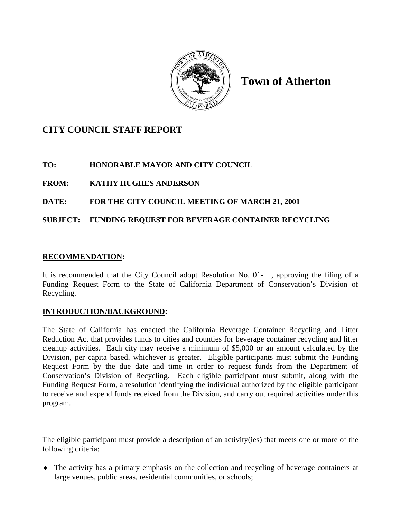

**Town of Atherton** 

# **CITY COUNCIL STAFF REPORT**

**TO: HONORABLE MAYOR AND CITY COUNCIL** 

**FROM: KATHY HUGHES ANDERSON** 

# **DATE: FOR THE CITY COUNCIL MEETING OF MARCH 21, 2001**

# **SUBJECT: FUNDING REQUEST FOR BEVERAGE CONTAINER RECYCLING**

### **RECOMMENDATION:**

It is recommended that the City Council adopt Resolution No. 01-\_\_, approving the filing of a Funding Request Form to the State of California Department of Conservation's Division of Recycling.

### **INTRODUCTION/BACKGROUND:**

The State of California has enacted the California Beverage Container Recycling and Litter Reduction Act that provides funds to cities and counties for beverage container recycling and litter cleanup activities. Each city may receive a minimum of \$5,000 or an amount calculated by the Division, per capita based, whichever is greater. Eligible participants must submit the Funding Request Form by the due date and time in order to request funds from the Department of Conservation's Division of Recycling. Each eligible participant must submit, along with the Funding Request Form, a resolution identifying the individual authorized by the eligible participant to receive and expend funds received from the Division, and carry out required activities under this program.

The eligible participant must provide a description of an activity(ies) that meets one or more of the following criteria:

 The activity has a primary emphasis on the collection and recycling of beverage containers at large venues, public areas, residential communities, or schools;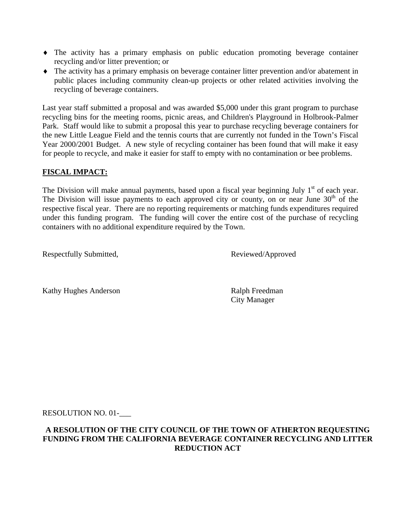- The activity has a primary emphasis on public education promoting beverage container recycling and/or litter prevention; or
- The activity has a primary emphasis on beverage container litter prevention and/or abatement in public places including community clean-up projects or other related activities involving the recycling of beverage containers.

Last year staff submitted a proposal and was awarded \$5,000 under this grant program to purchase recycling bins for the meeting rooms, picnic areas, and Children's Playground in Holbrook-Palmer Park. Staff would like to submit a proposal this year to purchase recycling beverage containers for the new Little League Field and the tennis courts that are currently not funded in the Town's Fiscal Year 2000/2001 Budget. A new style of recycling container has been found that will make it easy for people to recycle, and make it easier for staff to empty with no contamination or bee problems.

### **FISCAL IMPACT:**

The Division will make annual payments, based upon a fiscal year beginning July  $1<sup>st</sup>$  of each year. The Division will issue payments to each approved city or county, on or near June  $30<sup>th</sup>$  of the respective fiscal year. There are no reporting requirements or matching funds expenditures required under this funding program. The funding will cover the entire cost of the purchase of recycling containers with no additional expenditure required by the Town.

Respectfully Submitted, Reviewed/Approved

Kathy Hughes Anderson Ralph Freedman

City Manager

RESOLUTION NO. 01-\_\_\_

#### **A RESOLUTION OF THE CITY COUNCIL OF THE TOWN OF ATHERTON REQUESTING FUNDING FROM THE CALIFORNIA BEVERAGE CONTAINER RECYCLING AND LITTER REDUCTION ACT**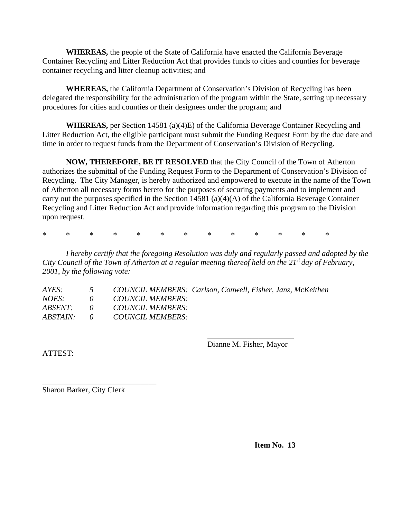**WHEREAS,** the people of the State of California have enacted the California Beverage Container Recycling and Litter Reduction Act that provides funds to cities and counties for beverage container recycling and litter cleanup activities; and

**WHEREAS,** the California Department of Conservation's Division of Recycling has been delegated the responsibility for the administration of the program within the State, setting up necessary procedures for cities and counties or their designees under the program; and

**WHEREAS,** per Section 14581 (a)(4)E) of the California Beverage Container Recycling and Litter Reduction Act, the eligible participant must submit the Funding Request Form by the due date and time in order to request funds from the Department of Conservation's Division of Recycling.

**NOW, THEREFORE, BE IT RESOLVED** that the City Council of the Town of Atherton authorizes the submittal of the Funding Request Form to the Department of Conservation's Division of Recycling. The City Manager, is hereby authorized and empowered to execute in the name of the Town of Atherton all necessary forms hereto for the purposes of securing payments and to implement and carry out the purposes specified in the Section 14581 (a)(4)(A) of the California Beverage Container Recycling and Litter Reduction Act and provide information regarding this program to the Division upon request.

\* \* \* \* \* \* \* \* \* \* \* \* \*

*I hereby certify that the foregoing Resolution was duly and regularly passed and adopted by the City Council of the Town of Atherton at a regular meeting thereof held on the 21st day of February, 2001, by the following vote:* 

| AYES:          | 5 COUNCIL MEMBERS: Carlson, Conwell, Fisher, Janz, McKeithen |
|----------------|--------------------------------------------------------------|
| <i>NOES</i> :  | 0 COUNCIL MEMBERS:                                           |
| <i>ABSENT:</i> | 0 COUNCIL MEMBERS:                                           |
| ABSTAIN:       | 0 COUNCIL MEMBERS:                                           |

\_\_\_\_\_\_\_\_\_\_\_\_\_\_\_\_\_\_\_\_\_\_ Dianne M. Fisher, Mayor

ATTEST:

Sharon Barker, City Clerk

\_\_\_\_\_\_\_\_\_\_\_\_\_\_\_\_\_\_\_\_\_\_\_\_\_\_\_\_\_

**Item No. 13**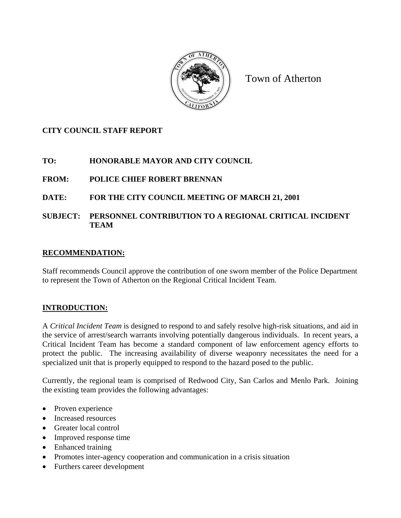

Town of Atherton

# **CITY COUNCIL STAFF REPORT**

# **TO: HONORABLE MAYOR AND CITY COUNCIL**

# **FROM: POLICE CHIEF ROBERT BRENNAN**

# **DATE: FOR THE CITY COUNCIL MEETING OF MARCH 21, 2001**

**SUBJECT: PERSONNEL CONTRIBUTION TO A REGIONAL CRITICAL INCIDENT TEAM** 

### **RECOMMENDATION:**

Staff recommends Council approve the contribution of one sworn member of the Police Department to represent the Town of Atherton on the Regional Critical Incident Team.

# **INTRODUCTION:**

A *Critical Incident Team* is designed to respond to and safely resolve high-risk situations, and aid in the service of arrest/search warrants involving potentially dangerous individuals. In recent years, a Critical Incident Team has become a standard component of law enforcement agency efforts to protect the public. The increasing availability of diverse weaponry necessitates the need for a specialized unit that is properly equipped to respond to the hazard posed to the public.

Currently, the regional team is comprised of Redwood City, San Carlos and Menlo Park. Joining the existing team provides the following advantages:

- Proven experience
- Increased resources
- Greater local control
- Improved response time
- Enhanced training
- Promotes inter-agency cooperation and communication in a crisis situation
- Furthers career development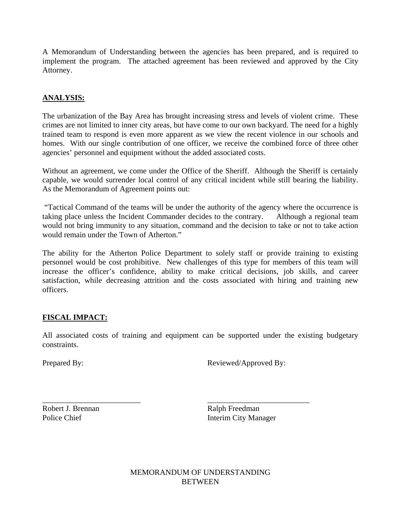A Memorandum of Understanding between the agencies has been prepared, and is required to implement the program. The attached agreement has been reviewed and approved by the City Attorney.

### **ANALYSIS:**

The urbanization of the Bay Area has brought increasing stress and levels of violent crime. These crimes are not limited to inner city areas, but have come to our own backyard. The need for a highly trained team to respond is even more apparent as we view the recent violence in our schools and homes. With our single contribution of one officer, we receive the combined force of three other agencies' personnel and equipment without the added associated costs.

Without an agreement, we come under the Office of the Sheriff. Although the Sheriff is certainly capable, we would surrender local control of any critical incident while still bearing the liability. As the Memorandum of Agreement points out:

 "Tactical Command of the teams will be under the authority of the agency where the occurrence is taking place unless the Incident Commander decides to the contrary. Although a regional team would not bring immunity to any situation, command and the decision to take or not to take action would remain under the Town of Atherton."

The ability for the Atherton Police Department to solely staff or provide training to existing personnel would be cost prohibitive. New challenges of this type for members of this team will increase the officer's confidence, ability to make critical decisions, job skills, and career satisfaction, while decreasing attrition and the costs associated with hiring and training new officers.

### **FISCAL IMPACT:**

All associated costs of training and equipment can be supported under the existing budgetary constraints.

\_\_\_\_\_\_\_\_\_\_\_\_\_\_\_\_\_\_\_\_\_\_\_\_\_ \_\_\_\_\_\_\_\_\_\_\_\_\_\_\_\_\_\_\_\_\_\_\_\_\_\_

Prepared By: Reviewed/Approved By:

Robert J. Brennan Ralph Freedman

Police Chief Interim City Manager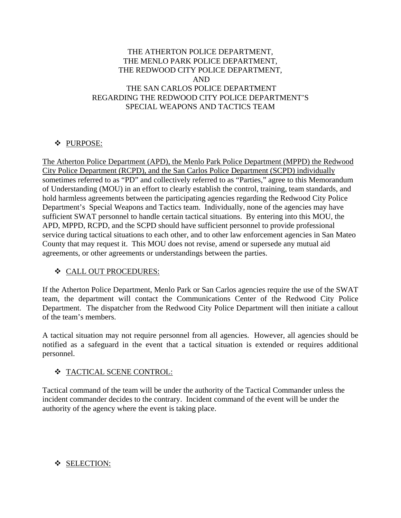### THE ATHERTON POLICE DEPARTMENT, THE MENLO PARK POLICE DEPARTMENT, THE REDWOOD CITY POLICE DEPARTMENT, AND THE SAN CARLOS POLICE DEPARTMENT REGARDING THE REDWOOD CITY POLICE DEPARTMENT'S SPECIAL WEAPONS AND TACTICS TEAM

### PURPOSE:

The Atherton Police Department (APD), the Menlo Park Police Department (MPPD) the Redwood City Police Department (RCPD), and the San Carlos Police Department (SCPD) individually sometimes referred to as "PD" and collectively referred to as "Parties," agree to this Memorandum of Understanding (MOU) in an effort to clearly establish the control, training, team standards, and hold harmless agreements between the participating agencies regarding the Redwood City Police Department's Special Weapons and Tactics team. Individually, none of the agencies may have sufficient SWAT personnel to handle certain tactical situations. By entering into this MOU, the APD, MPPD, RCPD, and the SCPD should have sufficient personnel to provide professional service during tactical situations to each other, and to other law enforcement agencies in San Mateo County that may request it. This MOU does not revise, amend or supersede any mutual aid agreements, or other agreements or understandings between the parties.

### CALL OUT PROCEDURES:

If the Atherton Police Department, Menlo Park or San Carlos agencies require the use of the SWAT team, the department will contact the Communications Center of the Redwood City Police Department. The dispatcher from the Redwood City Police Department will then initiate a callout of the team's members.

A tactical situation may not require personnel from all agencies. However, all agencies should be notified as a safeguard in the event that a tactical situation is extended or requires additional personnel.

# $\div$  TACTICAL SCENE CONTROL:

Tactical command of the team will be under the authority of the Tactical Commander unless the incident commander decides to the contrary. Incident command of the event will be under the authority of the agency where the event is taking place.

# ❖ SELECTION: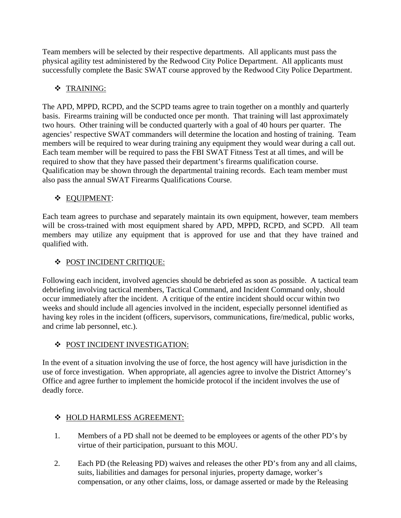Team members will be selected by their respective departments. All applicants must pass the physical agility test administered by the Redwood City Police Department. All applicants must successfully complete the Basic SWAT course approved by the Redwood City Police Department.

# TRAINING:

The APD, MPPD, RCPD, and the SCPD teams agree to train together on a monthly and quarterly basis. Firearms training will be conducted once per month. That training will last approximately two hours. Other training will be conducted quarterly with a goal of 40 hours per quarter. The agencies' respective SWAT commanders will determine the location and hosting of training. Team members will be required to wear during training any equipment they would wear during a call out. Each team member will be required to pass the FBI SWAT Fitness Test at all times, and will be required to show that they have passed their department's firearms qualification course. Qualification may be shown through the departmental training records. Each team member must also pass the annual SWAT Firearms Qualifications Course.

# EQUIPMENT:

Each team agrees to purchase and separately maintain its own equipment, however, team members will be cross-trained with most equipment shared by APD, MPPD, RCPD, and SCPD. All team members may utilize any equipment that is approved for use and that they have trained and qualified with.

# **\* POST INCIDENT CRITIQUE:**

Following each incident, involved agencies should be debriefed as soon as possible. A tactical team debriefing involving tactical members, Tactical Command, and Incident Command only, should occur immediately after the incident. A critique of the entire incident should occur within two weeks and should include all agencies involved in the incident, especially personnel identified as having key roles in the incident (officers, supervisors, communications, fire/medical, public works, and crime lab personnel, etc.).

### **\*** POST INCIDENT INVESTIGATION:

In the event of a situation involving the use of force, the host agency will have jurisdiction in the use of force investigation. When appropriate, all agencies agree to involve the District Attorney's Office and agree further to implement the homicide protocol if the incident involves the use of deadly force.

### $\div$  **HOLD HARMLESS AGREEMENT:**

- 1. Members of a PD shall not be deemed to be employees or agents of the other PD's by virtue of their participation, pursuant to this MOU.
- 2. Each PD (the Releasing PD) waives and releases the other PD's from any and all claims, suits, liabilities and damages for personal injuries, property damage, worker's compensation, or any other claims, loss, or damage asserted or made by the Releasing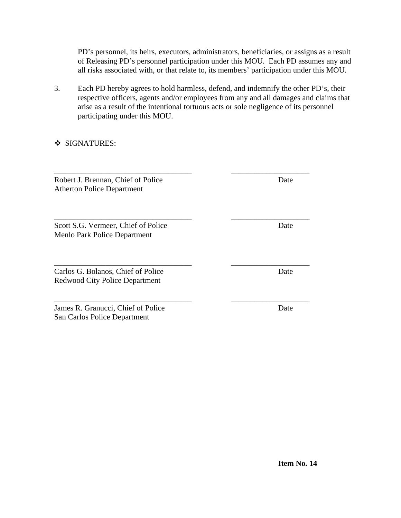PD's personnel, its heirs, executors, administrators, beneficiaries, or assigns as a result of Releasing PD's personnel participation under this MOU. Each PD assumes any and all risks associated with, or that relate to, its members' participation under this MOU.

3. Each PD hereby agrees to hold harmless, defend, and indemnify the other PD's, their respective officers, agents and/or employees from any and all damages and claims that arise as a result of the intentional tortuous acts or sole negligence of its personnel participating under this MOU.

\_\_\_\_\_\_\_\_\_\_\_\_\_\_\_\_\_\_\_\_\_\_\_\_\_\_\_\_\_\_\_\_\_\_\_ \_\_\_\_\_\_\_\_\_\_\_\_\_\_\_\_\_\_\_\_

\_\_\_\_\_\_\_\_\_\_\_\_\_\_\_\_\_\_\_\_\_\_\_\_\_\_\_\_\_\_\_\_\_\_\_ \_\_\_\_\_\_\_\_\_\_\_\_\_\_\_\_\_\_\_\_

### **SIGNATURES:**

\_\_\_\_\_\_\_\_\_\_\_\_\_\_\_\_\_\_\_\_\_\_\_\_\_\_\_\_\_\_\_\_\_\_\_ \_\_\_\_\_\_\_\_\_\_\_\_\_\_\_\_\_\_\_\_ Robert J. Brennan, Chief of Police Date Atherton Police Department

Scott S.G. Vermeer, Chief of Police Date Menlo Park Police Department

\_\_\_\_\_\_\_\_\_\_\_\_\_\_\_\_\_\_\_\_\_\_\_\_\_\_\_\_\_\_\_\_\_\_\_ \_\_\_\_\_\_\_\_\_\_\_\_\_\_\_\_\_\_\_\_ Carlos G. Bolanos, Chief of Police Date Redwood City Police Department

James R. Granucci, Chief of Police Date San Carlos Police Department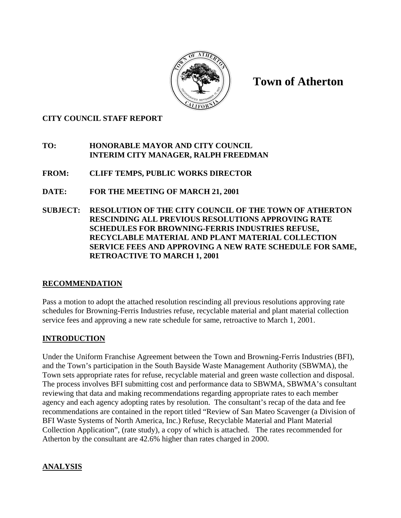

**Town of Atherton** 

### **CITY COUNCIL STAFF REPORT**

### **TO: HONORABLE MAYOR AND CITY COUNCIL INTERIM CITY MANAGER, RALPH FREEDMAN**

- **FROM: CLIFF TEMPS, PUBLIC WORKS DIRECTOR**
- **DATE: FOR THE MEETING OF MARCH 21, 2001**
- **SUBJECT: RESOLUTION OF THE CITY COUNCIL OF THE TOWN OF ATHERTON RESCINDING ALL PREVIOUS RESOLUTIONS APPROVING RATE SCHEDULES FOR BROWNING-FERRIS INDUSTRIES REFUSE, RECYCLABLE MATERIAL AND PLANT MATERIAL COLLECTION SERVICE FEES AND APPROVING A NEW RATE SCHEDULE FOR SAME, RETROACTIVE TO MARCH 1, 2001**

# **RECOMMENDATION**

Pass a motion to adopt the attached resolution rescinding all previous resolutions approving rate schedules for Browning-Ferris Industries refuse, recyclable material and plant material collection service fees and approving a new rate schedule for same, retroactive to March 1, 2001.

# **INTRODUCTION**

Under the Uniform Franchise Agreement between the Town and Browning-Ferris Industries (BFI), and the Town's participation in the South Bayside Waste Management Authority (SBWMA), the Town sets appropriate rates for refuse, recyclable material and green waste collection and disposal. The process involves BFI submitting cost and performance data to SBWMA, SBWMA's consultant reviewing that data and making recommendations regarding appropriate rates to each member agency and each agency adopting rates by resolution. The consultant's recap of the data and fee recommendations are contained in the report titled "Review of San Mateo Scavenger (a Division of BFI Waste Systems of North America, Inc.) Refuse, Recyclable Material and Plant Material Collection Application", (rate study), a copy of which is attached. The rates recommended for Atherton by the consultant are 42.6% higher than rates charged in 2000.

# **ANALYSIS**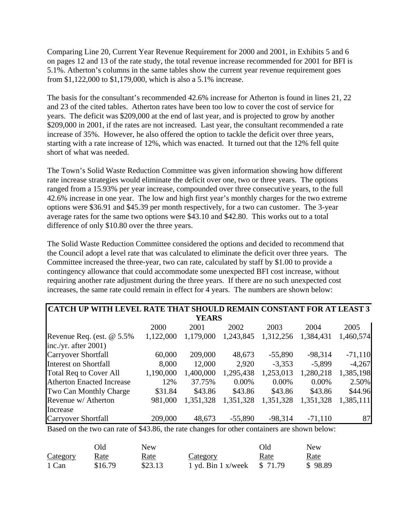Comparing Line 20, Current Year Revenue Requirement for 2000 and 2001, in Exhibits 5 and 6 on pages 12 and 13 of the rate study, the total revenue increase recommended for 2001 for BFI is 5.1%. Atherton's columns in the same tables show the current year revenue requirement goes from \$1,122,000 to \$1,179,000, which is also a 5.1% increase.

The basis for the consultant's recommended 42.6% increase for Atherton is found in lines 21, 22 and 23 of the cited tables. Atherton rates have been too low to cover the cost of service for years. The deficit was \$209,000 at the end of last year, and is projected to grow by another \$209,000 in 2001, if the rates are not increased. Last year, the consultant recommended a rate increase of 35%. However, he also offered the option to tackle the deficit over three years, starting with a rate increase of 12%, which was enacted. It turned out that the 12% fell quite short of what was needed.

The Town's Solid Waste Reduction Committee was given information showing how different rate increase strategies would eliminate the deficit over one, two or three years. The options ranged from a 15.93% per year increase, compounded over three consecutive years, to the full 42.6% increase in one year. The low and high first year's monthly charges for the two extreme options were \$36.91 and \$45.39 per month respectively, for a two can customer. The 3-year average rates for the same two options were \$43.10 and \$42.80. This works out to a total difference of only \$10.80 over the three years.

The Solid Waste Reduction Committee considered the options and decided to recommend that the Council adopt a level rate that was calculated to eliminate the deficit over three years. The Committee increased the three-year, two can rate, calculated by staff by \$1.00 to provide a contingency allowance that could accommodate some unexpected BFI cost increase, without requiring another rate adjustment during the three years. If there are no such unexpected cost increases, the same rate could remain in effect for 4 years. The numbers are shown below:

| CATCH UP WITH LEVEL RATE THAT SHOULD REMAIN CONSTANT FOR AT LEAST 3 |           |              |           |           |           |           |
|---------------------------------------------------------------------|-----------|--------------|-----------|-----------|-----------|-----------|
|                                                                     |           | <b>YEARS</b> |           |           |           |           |
|                                                                     | 2000      | 2001         | 2002      | 2003      | 2004      | 2005      |
| Revenue Req. (est. @ 5.5%)                                          | 1,122,000 | 1,179,000    | 1,243,845 | 1,312,256 | 1,384,431 | 1,460,574 |
| inc./yr. after $2001$ )                                             |           |              |           |           |           |           |
| <b>Carryover Shortfall</b>                                          | 60,000    | 209,000      | 48,673    | $-55,890$ | $-98,314$ | $-71,110$ |
| Interest on Shortfall                                               | 8,000     | 12,000       | 2,920     | $-3,353$  | $-5,899$  | $-4,267$  |
| Total Req to Cover All                                              | 1,190,000 | 1,400,000    | 1,295,438 | 1,253,013 | 1,280,218 | 1,385,198 |
| <b>Atherton Enacted Increase</b>                                    | 12%       | 37.75%       | 0.00%     | $0.00\%$  | $0.00\%$  | 2.50%     |
| Two Can Monthly Charge                                              | \$31.84   | \$43.86      | \$43.86   | \$43.86   | \$43.86   | \$44.96   |
| Revenue w/ Atherton                                                 | 981,000   | 1,351,328    | 1,351,328 | 1,351,328 | 1,351,328 | 1,385,111 |
| Increase                                                            |           |              |           |           |           |           |
| <b>Carryover Shortfall</b>                                          | 209,000   | 48,673       | $-55,890$ | $-98,314$ | $-71,110$ | 87        |

Based on the two can rate of \$43.86, the rate changes for other containers are shown below:

|                 | Эld     | New         |                             | Old  | <b>New</b>  |
|-----------------|---------|-------------|-----------------------------|------|-------------|
| <b>Category</b> | Rate    | <u>Rate</u> | Category                    | Rate | <u>Rate</u> |
| 1 Can           | \$16.79 | \$23.13     | 1 yd. Bin 1 x/week $$71.79$ |      | \$98.89     |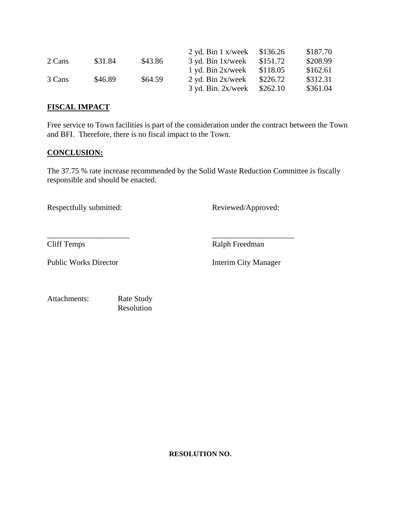|        |         |         | $2$ yd. Bin 1 x/week    | \$136.26 | \$187.70 |
|--------|---------|---------|-------------------------|----------|----------|
| 2 Cans | \$31.84 | \$43.86 | $3$ yd. Bin $1x$ /week  | \$151.72 | \$208.99 |
|        |         |         | $1$ yd. Bin $2x$ /week  | \$118.05 | \$162.61 |
| 3 Cans | \$46.89 | \$64.59 | $2$ yd. Bin $2x$ /week  | \$226.72 | \$312.31 |
|        |         |         | $3$ yd. Bin. $2x$ /week | \$262.10 | \$361.04 |

#### **FISCAL IMPACT**

Free service to Town facilities is part of the consideration under the contract between the Town and BFI. Therefore, there is no fiscal impact to the Town.

### **CONCLUSION:**

The 37.75 % rate increase recommended by the Solid Waste Reduction Committee is fiscally responsible and should be enacted.

\_\_\_\_\_\_\_\_\_\_\_\_\_\_\_\_\_\_\_\_\_ \_\_\_\_\_\_\_\_\_\_\_\_\_\_\_\_\_\_\_\_\_

Respectfully submitted: Reviewed/Approved:

Cliff Temps Ralph Freedman

Public Works Director Interim City Manager

Attachments: Rate Study

Resolution

**RESOLUTION NO.**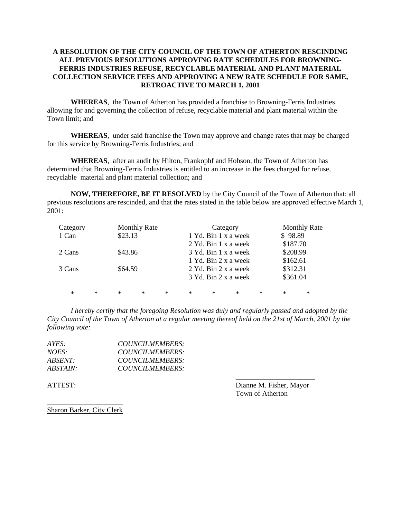#### **A RESOLUTION OF THE CITY COUNCIL OF THE TOWN OF ATHERTON RESCINDING ALL PREVIOUS RESOLUTIONS APPROVING RATE SCHEDULES FOR BROWNING-FERRIS INDUSTRIES REFUSE, RECYCLABLE MATERIAL AND PLANT MATERIAL COLLECTION SERVICE FEES AND APPROVING A NEW RATE SCHEDULE FOR SAME, RETROACTIVE TO MARCH 1, 2001**

**WHEREAS**, the Town of Atherton has provided a franchise to Browning-Ferris Industries allowing for and governing the collection of refuse, recyclable material and plant material within the Town limit; and

**WHEREAS**, under said franchise the Town may approve and change rates that may be charged for this service by Browning-Ferris Industries; and

**WHEREAS**, after an audit by Hilton, Frankophf and Hobson, the Town of Atherton has determined that Browning-Ferris Industries is entitled to an increase in the fees charged for refuse, recyclable material and plant material collection; and

**NOW, THEREFORE, BE IT RESOLVED** by the City Council of the Town of Atherton that: all previous resolutions are rescinded, and that the rates stated in the table below are approved effective March 1, 2001:

| Category         | <b>Monthly Rate</b>     | Category                | <b>Monthly Rate</b>   |
|------------------|-------------------------|-------------------------|-----------------------|
| 1 Can            | \$23.13                 | 1 Yd. Bin 1 x a week    | \$98.89               |
|                  |                         | 2 Yd. Bin 1 x a week    | \$187.70              |
| 2 Cans           | \$43.86                 | 3 Yd. Bin 1 x a week    | \$208.99              |
|                  |                         | 1 Yd. Bin 2 x a week    | \$162.61              |
| 3 Cans           | \$64.59                 | 2 Yd. Bin 2 x a week    | \$312.31              |
|                  |                         | 3 Yd. Bin 2 x a week    | \$361.04              |
|                  |                         |                         |                       |
| $\ast$<br>$\ast$ | $\ast$<br>$\ast$<br>$*$ | $\ast$<br>$\ast$<br>$*$ | $\ast$<br>$\ast$<br>∗ |

*I hereby certify that the foregoing Resolution was duly and regularly passed and adopted by the City Council of the Town of Atherton at a regular meeting thereof held on the 21st of March, 2001 by the following vote:* 

 $\overline{\phantom{a}}$  , and the contract of the contract of the contract of the contract of the contract of the contract of the contract of the contract of the contract of the contract of the contract of the contract of the contrac

| $AYES^+$        | COUNCILMEMBERS: |
|-----------------|-----------------|
| <i>NOES:</i>    | COUNCILMEMBERS: |
| <i>ABSENT:</i>  | COUNCILMEMBERS: |
| <i>ABSTAIN:</i> | COUNCILMEMBERS: |

ATTEST: Dianne M. Fisher, Mayor Town of Atherton

\_\_\_\_\_\_\_\_\_\_\_\_\_\_\_\_\_\_\_\_\_ Sharon Barker, City Clerk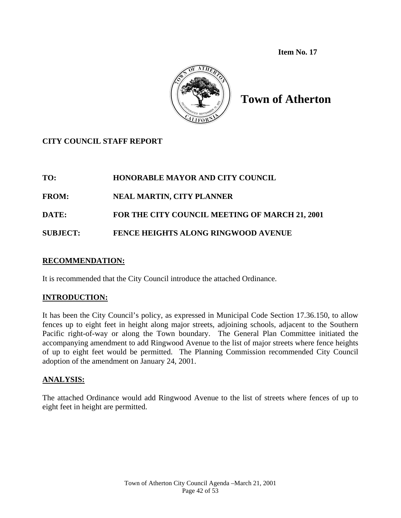**Item No. 17** 



# **Town of Atherton**

# **CITY COUNCIL STAFF REPORT**

# **TO: HONORABLE MAYOR AND CITY COUNCIL**

**FROM: NEAL MARTIN, CITY PLANNER** 

**DATE: FOR THE CITY COUNCIL MEETING OF MARCH 21, 2001** 

**SUBJECT: FENCE HEIGHTS ALONG RINGWOOD AVENUE** 

## **RECOMMENDATION:**

It is recommended that the City Council introduce the attached Ordinance.

# **INTRODUCTION:**

It has been the City Council's policy, as expressed in Municipal Code Section 17.36.150, to allow fences up to eight feet in height along major streets, adjoining schools, adjacent to the Southern Pacific right-of-way or along the Town boundary. The General Plan Committee initiated the accompanying amendment to add Ringwood Avenue to the list of major streets where fence heights of up to eight feet would be permitted. The Planning Commission recommended City Council adoption of the amendment on January 24, 2001.

# **ANALYSIS:**

The attached Ordinance would add Ringwood Avenue to the list of streets where fences of up to eight feet in height are permitted.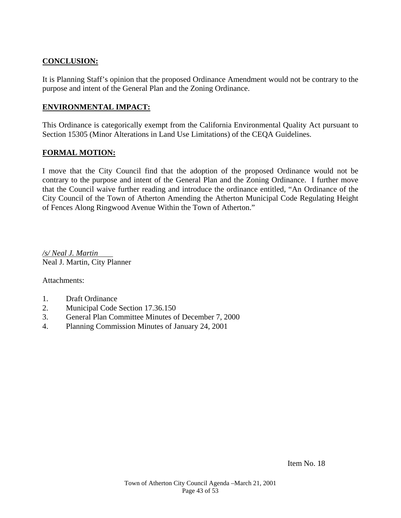# **CONCLUSION:**

It is Planning Staff's opinion that the proposed Ordinance Amendment would not be contrary to the purpose and intent of the General Plan and the Zoning Ordinance.

#### **ENVIRONMENTAL IMPACT:**

This Ordinance is categorically exempt from the California Environmental Quality Act pursuant to Section 15305 (Minor Alterations in Land Use Limitations) of the CEQA Guidelines.

#### **FORMAL MOTION:**

I move that the City Council find that the adoption of the proposed Ordinance would not be contrary to the purpose and intent of the General Plan and the Zoning Ordinance. I further move that the Council waive further reading and introduce the ordinance entitled, "An Ordinance of the City Council of the Town of Atherton Amending the Atherton Municipal Code Regulating Height of Fences Along Ringwood Avenue Within the Town of Atherton."

*/s/ Neal J. Martin* Neal J. Martin, City Planner

Attachments:

- 1. Draft Ordinance
- 2. Municipal Code Section 17.36.150
- 3. General Plan Committee Minutes of December 7, 2000
- 4. Planning Commission Minutes of January 24, 2001

Item No. 18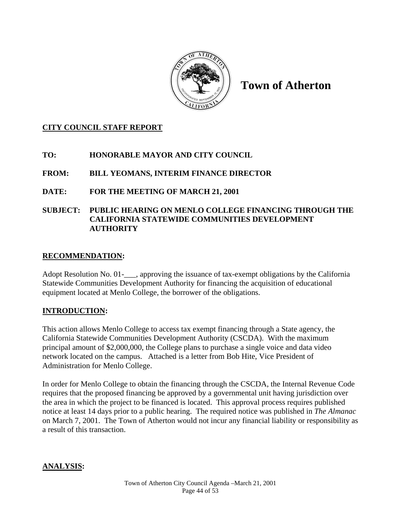

**Town of Atherton** 

## **CITY COUNCIL STAFF REPORT**

# **TO: HONORABLE MAYOR AND CITY COUNCIL**

# **FROM: BILL YEOMANS, INTERIM FINANCE DIRECTOR**

### **DATE: FOR THE MEETING OF MARCH 21, 2001**

## **SUBJECT: PUBLIC HEARING ON MENLO COLLEGE FINANCING THROUGH THE CALIFORNIA STATEWIDE COMMUNITIES DEVELOPMENT AUTHORITY**

### **RECOMMENDATION:**

Adopt Resolution No. 01-\_\_\_, approving the issuance of tax-exempt obligations by the California Statewide Communities Development Authority for financing the acquisition of educational equipment located at Menlo College, the borrower of the obligations.

# **INTRODUCTION:**

This action allows Menlo College to access tax exempt financing through a State agency, the California Statewide Communities Development Authority (CSCDA). With the maximum principal amount of \$2,000,000, the College plans to purchase a single voice and data video network located on the campus. Attached is a letter from Bob Hite, Vice President of Administration for Menlo College.

In order for Menlo College to obtain the financing through the CSCDA, the Internal Revenue Code requires that the proposed financing be approved by a governmental unit having jurisdiction over the area in which the project to be financed is located. This approval process requires published notice at least 14 days prior to a public hearing. The required notice was published in *The Almanac* on March 7, 2001. The Town of Atherton would not incur any financial liability or responsibility as a result of this transaction.

### **ANALYSIS:**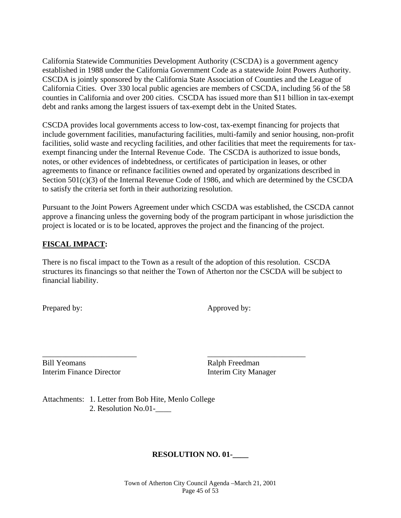California Statewide Communities Development Authority (CSCDA) is a government agency established in 1988 under the California Government Code as a statewide Joint Powers Authority. CSCDA is jointly sponsored by the California State Association of Counties and the League of California Cities. Over 330 local public agencies are members of CSCDA, including 56 of the 58 counties in California and over 200 cities. CSCDA has issued more than \$11 billion in tax-exempt debt and ranks among the largest issuers of tax-exempt debt in the United States.

CSCDA provides local governments access to low-cost, tax-exempt financing for projects that include government facilities, manufacturing facilities, multi-family and senior housing, non-profit facilities, solid waste and recycling facilities, and other facilities that meet the requirements for taxexempt financing under the Internal Revenue Code. The CSCDA is authorized to issue bonds, notes, or other evidences of indebtedness, or certificates of participation in leases, or other agreements to finance or refinance facilities owned and operated by organizations described in Section 501(c)(3) of the Internal Revenue Code of 1986, and which are determined by the CSCDA to satisfy the criteria set forth in their authorizing resolution.

Pursuant to the Joint Powers Agreement under which CSCDA was established, the CSCDA cannot approve a financing unless the governing body of the program participant in whose jurisdiction the project is located or is to be located, approves the project and the financing of the project.

### **FISCAL IMPACT:**

There is no fiscal impact to the Town as a result of the adoption of this resolution. CSCDA structures its financings so that neither the Town of Atherton nor the CSCDA will be subject to financial liability.

Prepared by: Approved by:

\_\_\_\_\_\_\_\_\_\_\_\_\_\_\_\_\_\_\_\_\_\_\_\_ \_\_\_\_\_\_\_\_\_\_\_\_\_\_\_\_\_\_\_\_\_\_\_\_\_ Bill Yeomans Ralph Freedman Interim Finance Director **Interim City Manager** 

Attachments: 1. Letter from Bob Hite, Menlo College 2. Resolution No.01-\_\_\_\_

### **RESOLUTION NO. 01-\_\_\_\_**

Town of Atherton City Council Agenda –March 21, 2001 Page 45 of 53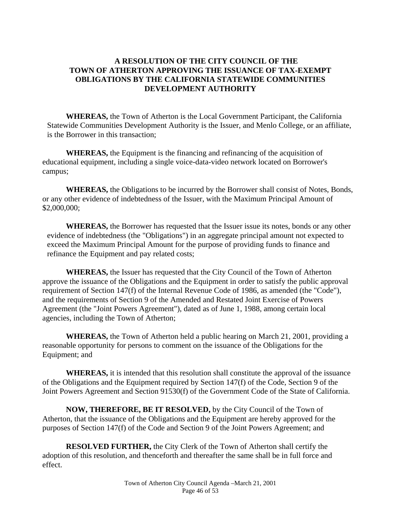### **A RESOLUTION OF THE CITY COUNCIL OF THE TOWN OF ATHERTON APPROVING THE ISSUANCE OF TAX-EXEMPT OBLIGATIONS BY THE CALIFORNIA STATEWIDE COMMUNITIES DEVELOPMENT AUTHORITY**

**WHEREAS,** the Town of Atherton is the Local Government Participant, the California Statewide Communities Development Authority is the Issuer, and Menlo College, or an affiliate, is the Borrower in this transaction;

**WHEREAS,** the Equipment is the financing and refinancing of the acquisition of educational equipment, including a single voice-data-video network located on Borrower's campus;

**WHEREAS,** the Obligations to be incurred by the Borrower shall consist of Notes, Bonds, or any other evidence of indebtedness of the Issuer, with the Maximum Principal Amount of \$2,000,000;

 **WHEREAS,** the Borrower has requested that the Issuer issue its notes, bonds or any other evidence of indebtedness (the "Obligations") in an aggregate principal amount not expected to exceed the Maximum Principal Amount for the purpose of providing funds to finance and refinance the Equipment and pay related costs;

**WHEREAS,** the Issuer has requested that the City Council of the Town of Atherton approve the issuance of the Obligations and the Equipment in order to satisfy the public approval requirement of Section 147(f) of the Internal Revenue Code of 1986, as amended (the "Code"), and the requirements of Section 9 of the Amended and Restated Joint Exercise of Powers Agreement (the "Joint Powers Agreement"), dated as of June 1, 1988, among certain local agencies, including the Town of Atherton;

**WHEREAS,** the Town of Atherton held a public hearing on March 21, 2001, providing a reasonable opportunity for persons to comment on the issuance of the Obligations for the Equipment; and

 **WHEREAS,** it is intended that this resolution shall constitute the approval of the issuance of the Obligations and the Equipment required by Section 147(f) of the Code, Section 9 of the Joint Powers Agreement and Section 91530(f) of the Government Code of the State of California.

**NOW, THEREFORE, BE IT RESOLVED,** by the City Council of the Town of Atherton, that the issuance of the Obligations and the Equipment are hereby approved for the purposes of Section 147(f) of the Code and Section 9 of the Joint Powers Agreement; and

**RESOLVED FURTHER,** the City Clerk of the Town of Atherton shall certify the adoption of this resolution, and thenceforth and thereafter the same shall be in full force and effect.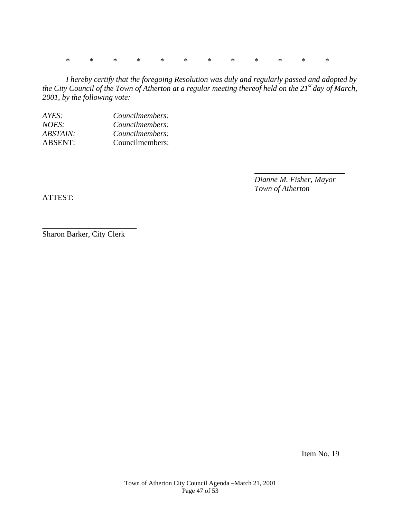\* \* \* \* \* \* \* \* \* \* \* \*

*I hereby certify that the foregoing Resolution was duly and regularly passed and adopted by the City Council of the Town of Atherton at a regular meeting thereof held on the 21st day of March, 2001, by the following vote:* 

 **\_\_\_\_\_\_\_\_\_\_\_\_\_\_\_\_\_\_\_\_\_\_\_** 

| AYES:          | Councilmembers: |
|----------------|-----------------|
| NOES:          | Councilmembers: |
| ABSTAIN:       | Councilmembers: |
| <b>ABSENT:</b> | Councilmembers: |

*Dianne M. Fisher, Mayor Town of Atherton* 

ATTEST:

Sharon Barker, City Clerk

\_\_\_\_\_\_\_\_\_\_\_\_\_\_\_\_\_\_\_\_\_\_\_\_

Item No. 19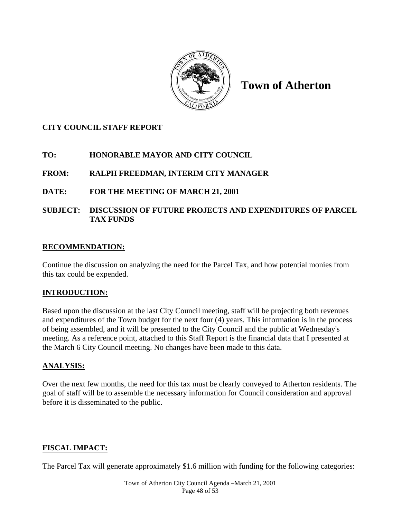

**Town of Atherton** 

## **CITY COUNCIL STAFF REPORT**

### **TO: HONORABLE MAYOR AND CITY COUNCIL**

# **FROM: RALPH FREEDMAN, INTERIM CITY MANAGER**

### **DATE: FOR THE MEETING OF MARCH 21, 2001**

## **SUBJECT: DISCUSSION OF FUTURE PROJECTS AND EXPENDITURES OF PARCEL TAX FUNDS**

### **RECOMMENDATION:**

Continue the discussion on analyzing the need for the Parcel Tax, and how potential monies from this tax could be expended.

### **INTRODUCTION:**

Based upon the discussion at the last City Council meeting, staff will be projecting both revenues and expenditures of the Town budget for the next four (4) years. This information is in the process of being assembled, and it will be presented to the City Council and the public at Wednesday's meeting. As a reference point, attached to this Staff Report is the financial data that I presented at the March 6 City Council meeting. No changes have been made to this data.

### **ANALYSIS:**

Over the next few months, the need for this tax must be clearly conveyed to Atherton residents. The goal of staff will be to assemble the necessary information for Council consideration and approval before it is disseminated to the public.

# **FISCAL IMPACT:**

The Parcel Tax will generate approximately \$1.6 million with funding for the following categories: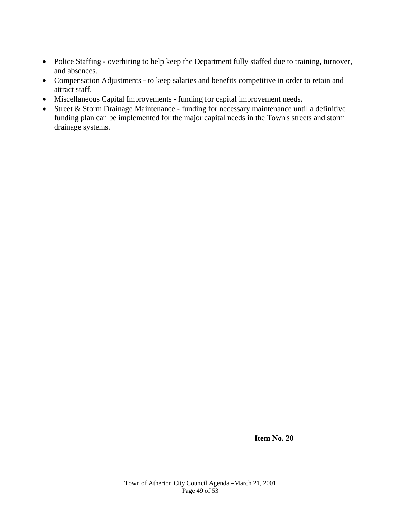- Police Staffing overhiring to help keep the Department fully staffed due to training, turnover, and absences.
- Compensation Adjustments to keep salaries and benefits competitive in order to retain and attract staff.
- Miscellaneous Capital Improvements funding for capital improvement needs.
- Street & Storm Drainage Maintenance funding for necessary maintenance until a definitive funding plan can be implemented for the major capital needs in the Town's streets and storm drainage systems.

 **Item No. 20**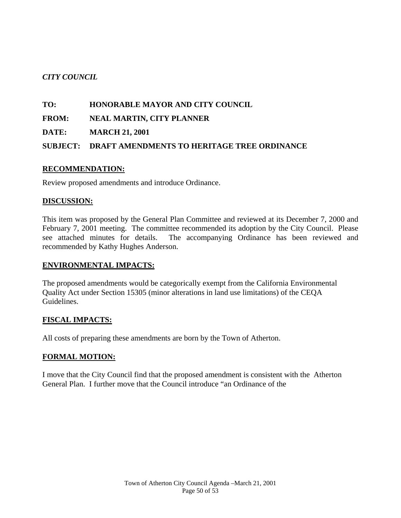# *CITY COUNCIL*

### **TO: HONORABLE MAYOR AND CITY COUNCIL**

**FROM: NEAL MARTIN, CITY PLANNER** 

**DATE: MARCH 21, 2001** 

### **SUBJECT: DRAFT AMENDMENTS TO HERITAGE TREE ORDINANCE**

### **RECOMMENDATION:**

Review proposed amendments and introduce Ordinance.

### **DISCUSSION:**

This item was proposed by the General Plan Committee and reviewed at its December 7, 2000 and February 7, 2001 meeting. The committee recommended its adoption by the City Council. Please see attached minutes for details. The accompanying Ordinance has been reviewed and recommended by Kathy Hughes Anderson.

### **ENVIRONMENTAL IMPACTS:**

The proposed amendments would be categorically exempt from the California Environmental Quality Act under Section 15305 (minor alterations in land use limitations) of the CEQA Guidelines.

# **FISCAL IMPACTS:**

All costs of preparing these amendments are born by the Town of Atherton.

# **FORMAL MOTION:**

I move that the City Council find that the proposed amendment is consistent with the Atherton General Plan. I further move that the Council introduce "an Ordinance of the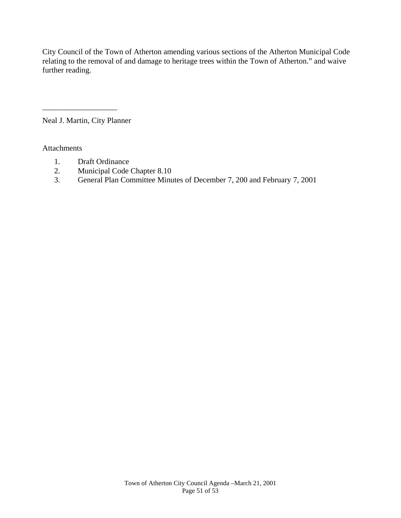City Council of the Town of Atherton amending various sections of the Atherton Municipal Code relating to the removal of and damage to heritage trees within the Town of Atherton." and waive further reading.

Neal J. Martin, City Planner

\_\_\_\_\_\_\_\_\_\_\_\_\_\_\_\_\_\_\_

Attachments

- 1. Draft Ordinance
- 2. Municipal Code Chapter 8.10
- 3. General Plan Committee Minutes of December 7, 200 and February 7, 2001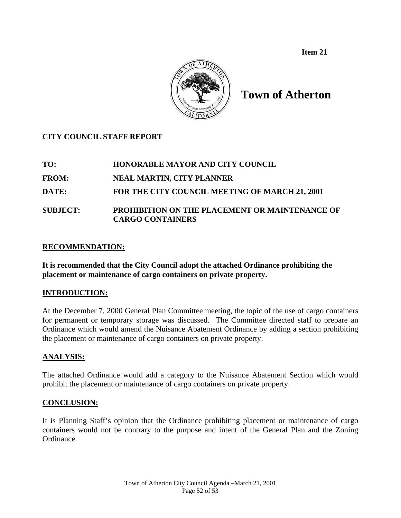**Item 21** 



**Town of Atherton** 

# **CITY COUNCIL STAFF REPORT**

**TO: HONORABLE MAYOR AND CITY COUNCIL** 

**FROM: NEAL MARTIN, CITY PLANNER** 

**DATE: FOR THE CITY COUNCIL MEETING OF MARCH 21, 2001** 

## **SUBJECT: PROHIBITION ON THE PLACEMENT OR MAINTENANCE OF CARGO CONTAINERS**

### **RECOMMENDATION:**

**It is recommended that the City Council adopt the attached Ordinance prohibiting the placement or maintenance of cargo containers on private property.** 

### **INTRODUCTION:**

At the December 7, 2000 General Plan Committee meeting, the topic of the use of cargo containers for permanent or temporary storage was discussed. The Committee directed staff to prepare an Ordinance which would amend the Nuisance Abatement Ordinance by adding a section prohibiting the placement or maintenance of cargo containers on private property.

### **ANALYSIS:**

The attached Ordinance would add a category to the Nuisance Abatement Section which would prohibit the placement or maintenance of cargo containers on private property.

### **CONCLUSION:**

It is Planning Staff's opinion that the Ordinance prohibiting placement or maintenance of cargo containers would not be contrary to the purpose and intent of the General Plan and the Zoning Ordinance.